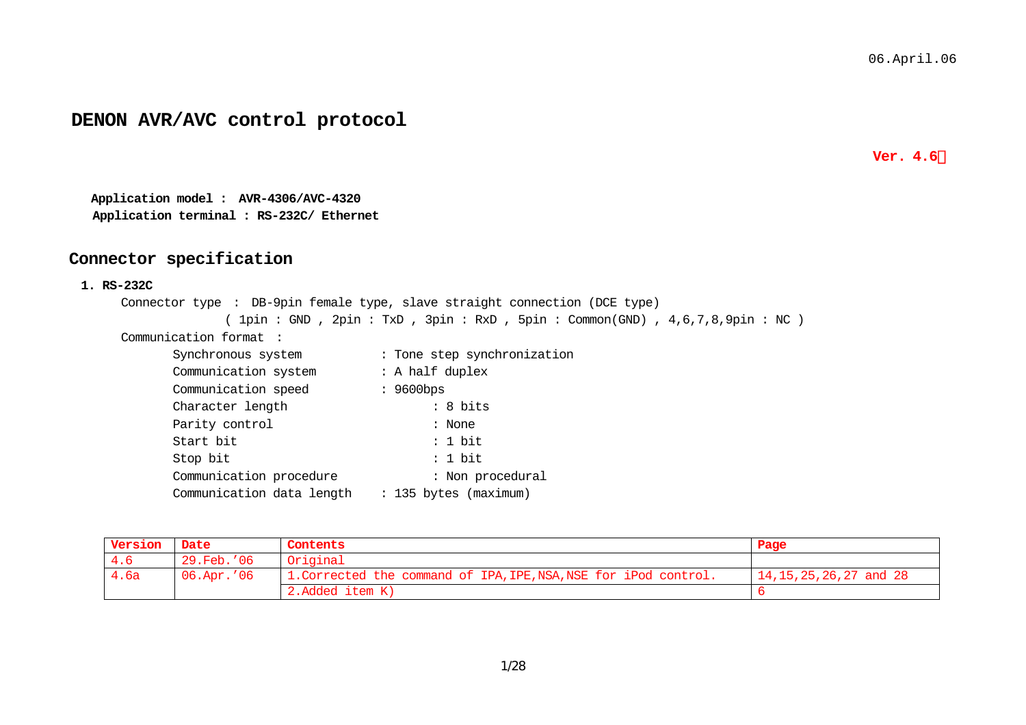# **DENON AVR/AVC control protocol**

**Ver. 4.6** 

**Application model : AVR-4306/AVC-4320 Application terminal : RS-232C/ Ethernet**

# **Connector specification**

#### **1. RS-232C**

Connector type : DB-9pin female type, slave straight connection (DCE type) ( 1pin : GND , 2pin : TxD , 3pin : RxD , 5pin : Common(GND) , 4,6,7,8,9pin : NC )

Communication format :

| Synchronous system        | : Tone step synchronization |
|---------------------------|-----------------------------|
| Communication system      | : A half duplex             |
| Communication speed       | $: 9600$ bps                |
| Character length          | : 8 bits                    |
| Parity control            | : None                      |
| Start bit                 | : 1 bit                     |
| Stop bit                  | : 1 bit                     |
| Communication procedure   | : Non procedural            |
| Communication data length | : 135 bytes (maximum)       |

| Version | Date       | Contents                                                         | Page                         |
|---------|------------|------------------------------------------------------------------|------------------------------|
| 4.6     | 29.Feb.'06 | Original                                                         |                              |
| 4.6a    | 06.Apr.'06 | 1. Corrected the command of IPA, IPE, NSA, NSE for iPod control. | $14, 15, 25, 26, 27,$ and 28 |
|         |            | 2.Added item K)                                                  |                              |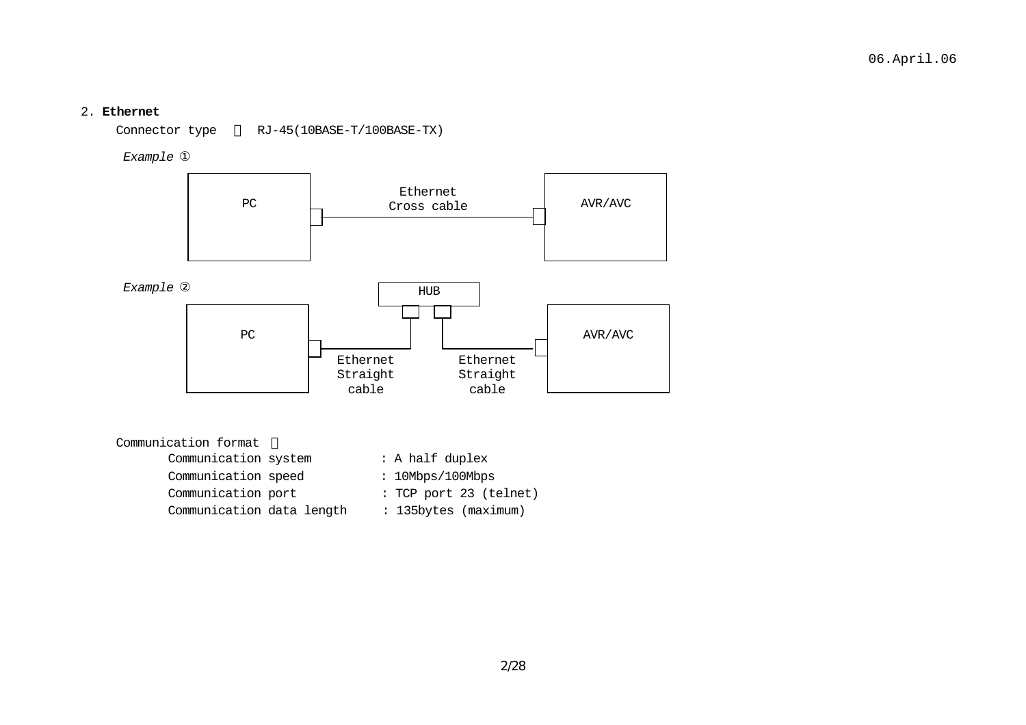#### 2. **Ethernet**

Connector type RJ-45(10BASE-T/100BASE-TX)

*Example* 



| Communication format      |                        |
|---------------------------|------------------------|
| Communication system      | : A half duplex        |
| Communication speed       | : 10Mbps/100Mbps       |
| Communication port        | : TCP port 23 (telnet) |
| Communication data length | : 135bytes (maximum)   |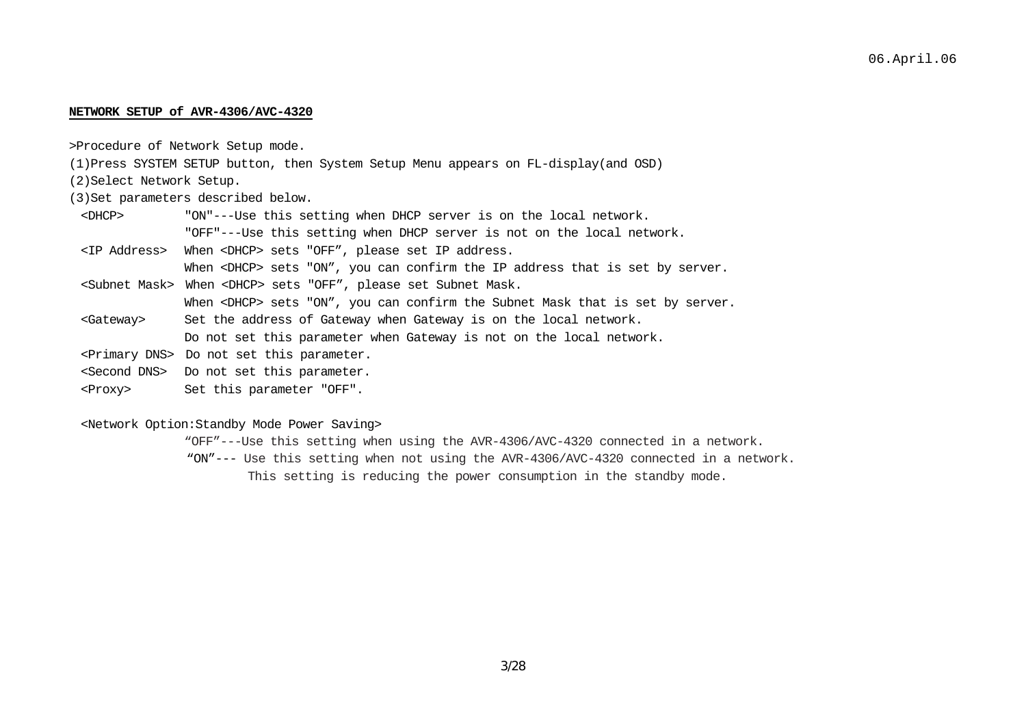#### **NETWORK SETUP of AVR-4306/AVC-4320**

>Procedure of Network Setup mode.

(1)Press SYSTEM SETUP button, then System Setup Menu appears on FL-display(and OSD)

(2)Select Network Setup.

(3)Set parameters described below.

 <DHCP> "ON"---Use this setting when DHCP server is on the local network. "OFF"---Use this setting when DHCP server is not on the local network.

<IP Address> When <DHCP> sets "OFF", please set IP address.

When <DHCP> sets "ON", you can confirm the IP address that is set by server.

<Subnet Mask> When <DHCP> sets "OFF", please set Subnet Mask.

When <DHCP> sets "ON", you can confirm the Subnet Mask that is set by server.

- <Gateway> Set the address of Gateway when Gateway is on the local network. Do not set this parameter when Gateway is not on the local network.
- <Primary DNS> Do not set this parameter.
- <Second DNS> Do not set this parameter.
- <Proxy> Set this parameter "OFF".

#### <Network Option:Standby Mode Power Saving>

"OFF"---Use this setting when using the AVR-4306/AVC-4320 connected in a network. "ON"--- Use this setting when not using the AVR-4306/AVC-4320 connected in a network.

This setting is reducing the power consumption in the standby mode.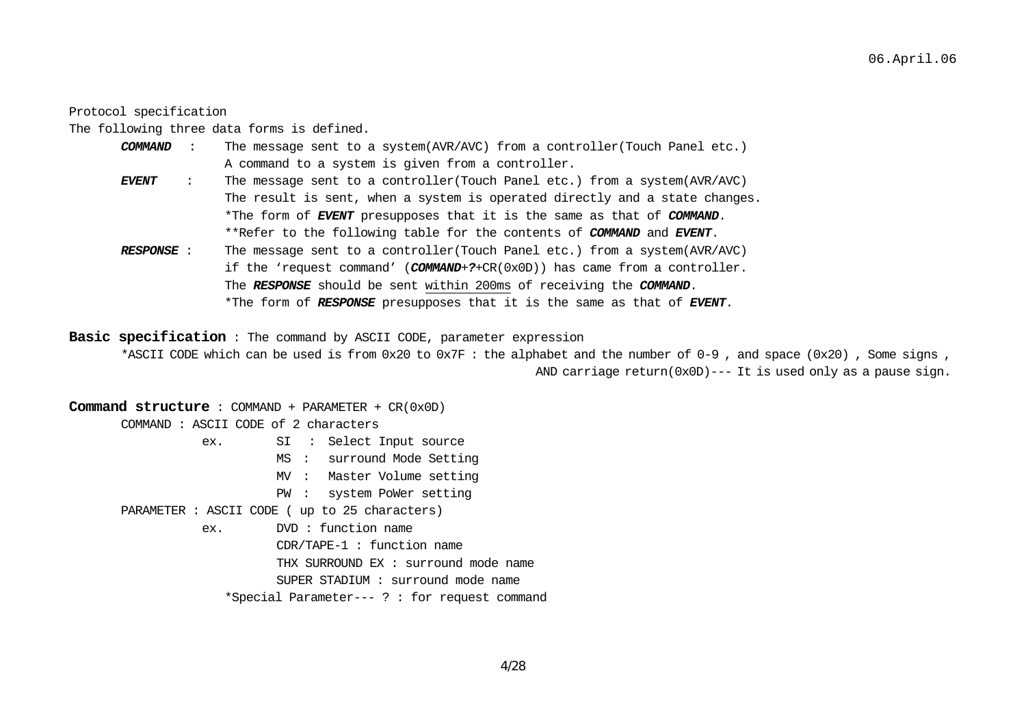#### Protocol specification

The following three data forms is defined.

- *COMMAND* : The message sent to a system(AVR/AVC) from a controller(Touch Panel etc.) A command to a system is given from a controller. *EVENT* : The message sent to a controller(Touch Panel etc.) from a system(AVR/AVC)
	- The result is sent, when a system is operated directly and a state changes. \*The form of *EVENT* presupposes that it is the same as that of *COMMAND*. \*\*Refer to the following table for the contents of *COMMAND* and *EVENT*.
- *RESPONSE* : The message sent to a controller(Touch Panel etc.) from a system(AVR/AVC) if the 'request command' (*COMMAND*+*?*+CR(0x0D)) has came from a controller. The *RESPONSE* should be sent within 200ms of receiving the *COMMAND*. \*The form of *RESPONSE* presupposes that it is the same as that of *EVENT*.

**Basic specification** : The command by ASCII CODE, parameter expression

\*ASCII CODE which can be used is from 0x20 to 0x7F : the alphabet and the number of 0-9 , and space (0x20) , Some signs , AND carriage return(0x0D)--- It is used only as a pause sign.

#### **Command structure** : COMMAND + PARAMETER + CR(0x0D)

COMMAND : ASCII CODE of 2 characters

- ex. SI : Select Input source
	- MS : surround Mode Setting
		- MV : Master Volume setting
		- PW : system PoWer setting
- PARAMETER : ASCII CODE ( up to 25 characters)
	- ex. DVD : function name
		- CDR/TAPE-1 : function name
		- THX SURROUND EX : surround mode name
		- SUPER STADIUM : surround mode name
		- \*Special Parameter--- ? : for request command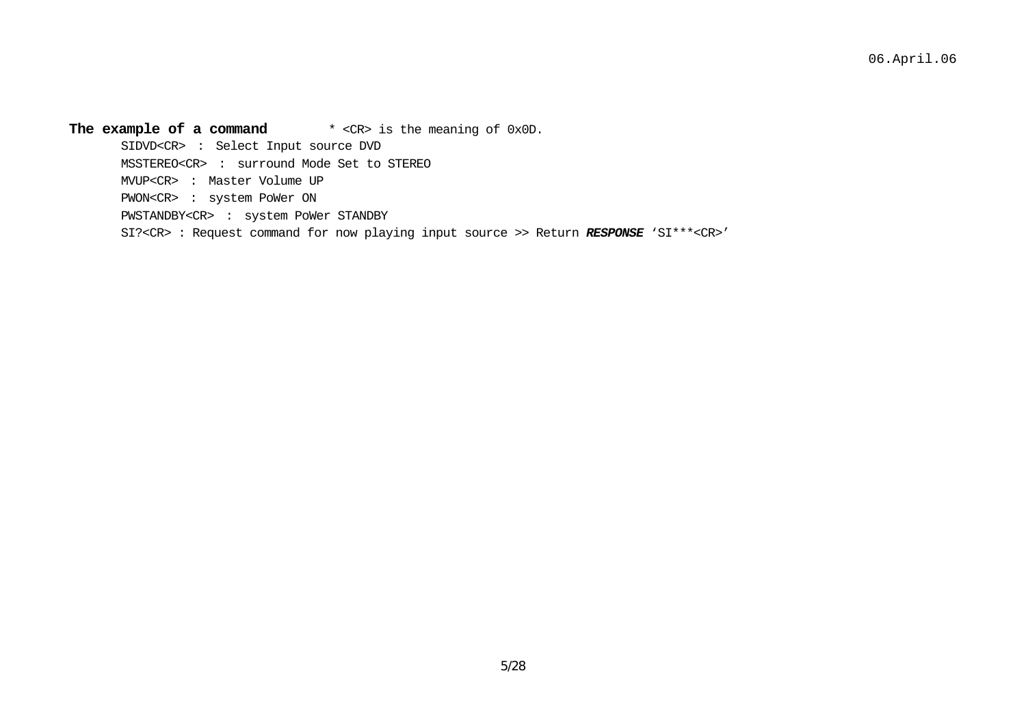**The example of a command** \* <CR> is the meaning of 0x0D. SIDVD<CR> : Select Input source DVD MSSTEREO<CR> : surround Mode Set to STEREO MVUP<CR> : Master Volume UP PWON<CR> : system PoWer ON PWSTANDBY<CR> : system PoWer STANDBY SI?<CR> : Request command for now playing input source >> Return *RESPONSE* 'SI\*\*\*<CR>'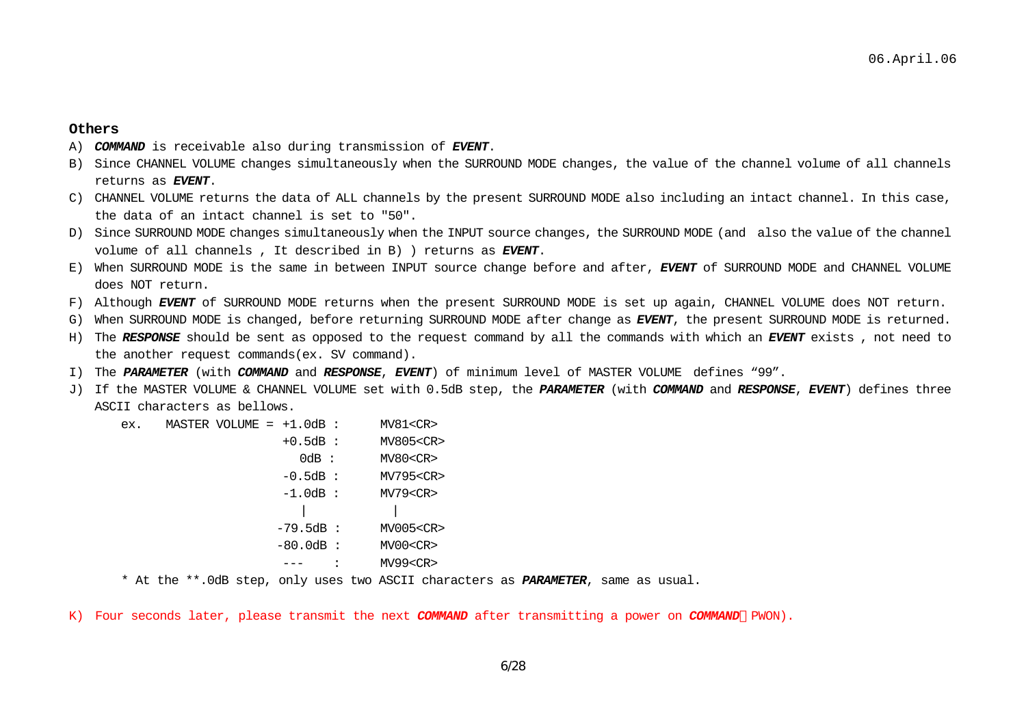#### **Others**

- A) *COMMAND* is receivable also during transmission of *EVENT*.
- B) Since CHANNEL VOLUME changes simultaneously when the SURROUND MODE changes, the value of the channel volume of all channels returns as *EVENT*.
- C) CHANNEL VOLUME returns the data of ALL channels by the present SURROUND MODE also including an intact channel. In this case, the data of an intact channel is set to "50".
- D) Since SURROUND MODE changes simultaneously when the INPUT source changes, the SURROUND MODE (and also the value of the channel volume of all channels , It described in B) ) returns as *EVENT*.
- E) When SURROUND MODE is the same in between INPUT source change before and after, *EVENT* of SURROUND MODE and CHANNEL VOLUME does NOT return.
- F) Although *EVENT* of SURROUND MODE returns when the present SURROUND MODE is set up again, CHANNEL VOLUME does NOT return.
- G) When SURROUND MODE is changed, before returning SURROUND MODE after change as *EVENT*, the present SURROUND MODE is returned.
- H) The *RESPONSE* should be sent as opposed to the request command by all the commands with which an *EVENT* exists , not need to the another request commands(ex. SV command).
- I) The *PARAMETER* (with *COMMAND* and *RESPONSE*, *EVENT*) of minimum level of MASTER VOLUME defines "99".
- J) If the MASTER VOLUME & CHANNEL VOLUME set with 0.5dB step, the *PARAMETER* (with *COMMAND* and *RESPONSE*, *EVENT*) defines three ASCII characters as bellows.

ex. MASTER VOLUME =  $+1.0$ dB : MV81<CR> +0.5dB : MV805<CR> 0dB : MV80<CR> -0.5dB : MV795<CR> -1.0dB : MV79<CR> | | -79.5dB : MV005<CR> -80.0dB : MV00<CR> --- : MV99<CR>

\* At the \*\*.0dB step, only uses two ASCII characters as *PARAMETER*, same as usual.

K) Four seconds later, please transmit the next *COMMAND* after transmitting a power on *COMMAND* PWON).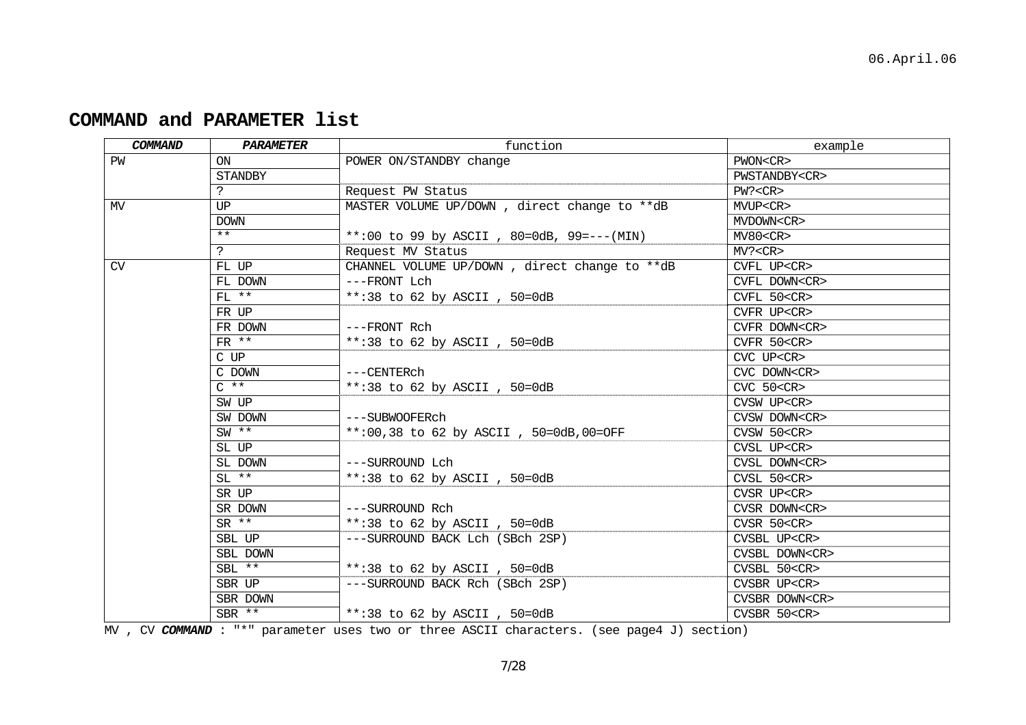| COMMAND   | <b>PARAMETER</b> | function                                      | example              |
|-----------|------------------|-----------------------------------------------|----------------------|
| PW        | <b>ON</b>        | POWER ON/STANDBY change                       | PWON <cr></cr>       |
|           | STANDBY          |                                               | PWSTANDBY <cr></cr>  |
|           | ?                | Request PW Status                             | PW? < CR             |
| MV        | UP               | MASTER VOLUME UP/DOWN, direct change to **dB  | MVUP <cr></cr>       |
|           | <b>DOWN</b>      |                                               | MVDOWN <cr></cr>     |
|           | $***$            | **:00 to 99 by ASCII, 80=0dB, 99 =--- (MIN)   | MV80 < CR            |
|           | $\mathbf{P}$     | Request MV Status                             | MV? < CR             |
| <b>CV</b> | FL UP            | CHANNEL VOLUME UP/DOWN, direct change to **dB | CVFL UP <cr></cr>    |
|           | FL DOWN          | ---FRONT Lch                                  | CVFL DOWN <cr></cr>  |
|           | $FT.$ **         | **:38 to 62 by ASCII, 50=0dB                  | CVFL 50 <cr></cr>    |
|           | FR UP            |                                               | CVFR UP <cr></cr>    |
|           | FR DOWN          | ---FRONT Rch                                  | CVFR DOWN <cr></cr>  |
|           | FR **            | **:38 to 62 by ASCII, $50=0dB$                | CVFR 50 <cr></cr>    |
|           | C UP             |                                               | CVC UP <cr></cr>     |
|           | C DOWN           | ---CENTERch                                   | CVC DOWN <cr></cr>   |
|           | $C \star \star$  | **:38 to 62 by ASCII, $50=0dB$                | $CVC$ $50 < CR$      |
|           | SW UP            |                                               | CVSW UP <cr></cr>    |
|           | SW DOWN          | ---SUBWOOFERch                                | CVSW DOWN <cr></cr>  |
|           | $SW$ **          | **:00,38 to 62 by ASCII, 50=0dB,00=OFF        | CVSW 50 < CR         |
|           | SL UP            |                                               | CVSL UP <cr></cr>    |
|           | SL DOWN          | ---SURROUND Lch                               | CVSL DOWN <cr></cr>  |
|           | $SL$ **          | **:38 to 62 by ASCII, $50=0dB$                | CVSL 50 <cr></cr>    |
|           | SR UP            |                                               | CVSR UP <cr></cr>    |
|           | SR DOWN          | ---SURROUND Rch                               | CVSR DOWN <cr></cr>  |
|           | $SR$ **          | **:38 to 62 by ASCII, $50=0dB$                | CVSR 50 <cr></cr>    |
|           | SBL UP           | ---SURROUND BACK Lch (SBch 2SP)               | CVSBL UP <cr></cr>   |
|           | SBL DOWN         |                                               | CVSBL DOWN <cr></cr> |
|           | SBL **           | **:38 to 62 by ASCII, 50=0dB                  | CVSBL 50 <cr></cr>   |
|           | SBR UP           | ---SURROUND BACK Rch (SBch 2SP)               | CVSBR UP <cr></cr>   |
|           | SBR DOWN         |                                               | CVSBR DOWN <cr></cr> |
|           | SBR **           | **:38 to 62 by ASCII, $50=0dB$                | CVSBR 50 <cr></cr>   |

# **COMMAND and PARAMETER list**

MV , CV COMMAND : "\*" parameter uses two or three ASCII characters. (see page4 J) section)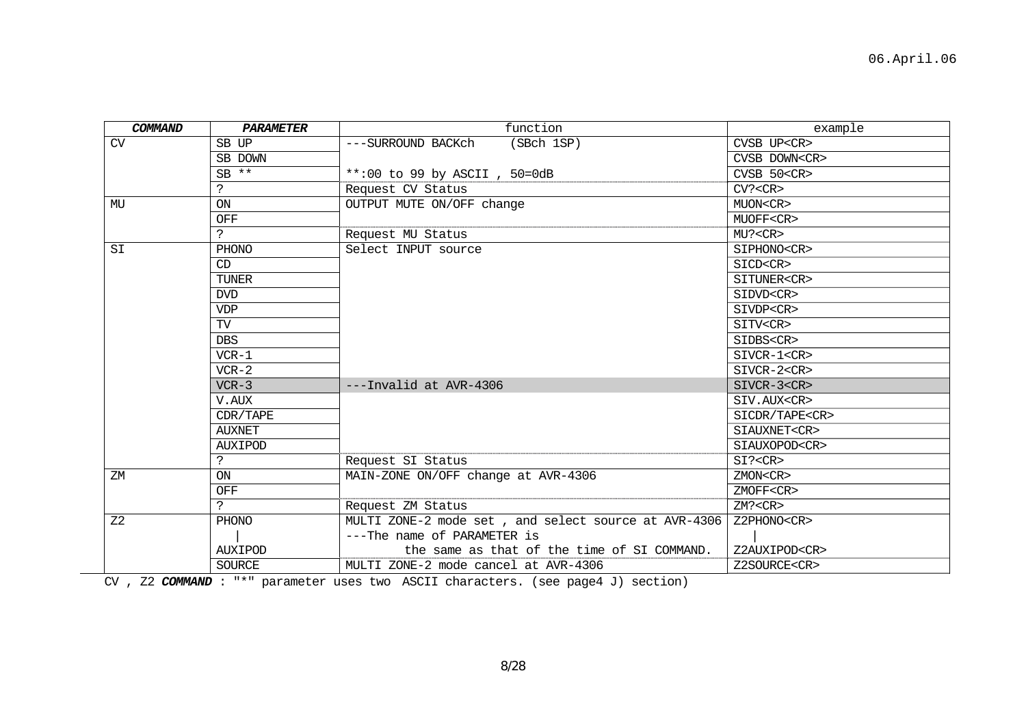| COMMAND        | PARAMETER      | function                                             | example              |
|----------------|----------------|------------------------------------------------------|----------------------|
| CV             | SB UP          | (SBch 1SP)<br>---SURROUND BACKch                     | CVSB UP <cr></cr>    |
|                | SB DOWN        |                                                      | CVSB DOWN <cr></cr>  |
|                | $SB$ **        | **:00 to 99 by ASCII, 50=0dB                         | $CVSB$ 50 $CR$       |
|                | ?              | Request CV Status                                    | CV? < CR             |
| MU             | ON             | OUTPUT MUTE ON/OFF change                            | MUON <cr></cr>       |
|                | OFF            |                                                      | MUOFF <cr></cr>      |
|                | ?              | Request MU Status                                    | MU? < CR             |
| SI             | PHONO          | Select INPUT source                                  | SIPHONO <cr></cr>    |
|                | CD             |                                                      | SICD <cr></cr>       |
|                | <b>TUNER</b>   |                                                      | SITUNER <cr></cr>    |
|                | <b>DVD</b>     |                                                      | SIDVD <cr></cr>      |
|                | <b>VDP</b>     |                                                      | SIVDP <cr></cr>      |
|                | TV             |                                                      | SITV <cr></cr>       |
|                | <b>DBS</b>     |                                                      | SIDBS <cr></cr>      |
|                | $VCR-1$        |                                                      | SIVCR-1 <cr></cr>    |
|                | $VCR-2$        |                                                      | SIVCR-2 <cr></cr>    |
|                | $VCR-3$        | ---Invalid at AVR-4306                               | SIVCR-3 <cr></cr>    |
|                | V.AUX          |                                                      | SIV.AUX <cr></cr>    |
|                | CDR/TAPE       |                                                      | SICDR/TAPE <cr></cr> |
|                | <b>AUXNET</b>  |                                                      | SIAUXNET <cr></cr>   |
|                | <b>AUXIPOD</b> |                                                      | SIAUXOPOD <cr></cr>  |
|                | $\mathbf{P}$   | Request SI Status                                    | SI? < CR             |
| ZM             | <b>ON</b>      | MAIN-ZONE ON/OFF change at AVR-4306                  | ZMON <cr></cr>       |
|                | OFF            |                                                      | ZMOFF <cr></cr>      |
|                | S.             | Request ZM Status                                    | ZM? < CR             |
| Z <sub>2</sub> | PHONO          | MULTI ZONE-2 mode set, and select source at AVR-4306 | Z2PHONO <cr></cr>    |
|                |                | ---The name of PARAMETER is                          |                      |
|                | <b>AUXIPOD</b> | the same as that of the time of SI COMMAND.          | Z2AUXIPOD <cr></cr>  |
|                | <b>SOURCE</b>  | MULTI ZONE-2 mode cancel at AVR-4306                 | Z2SOURCE <cr></cr>   |

CV , Z2 *COMMAND* : "\*" parameter uses two ASCII characters. (see page4 J) section)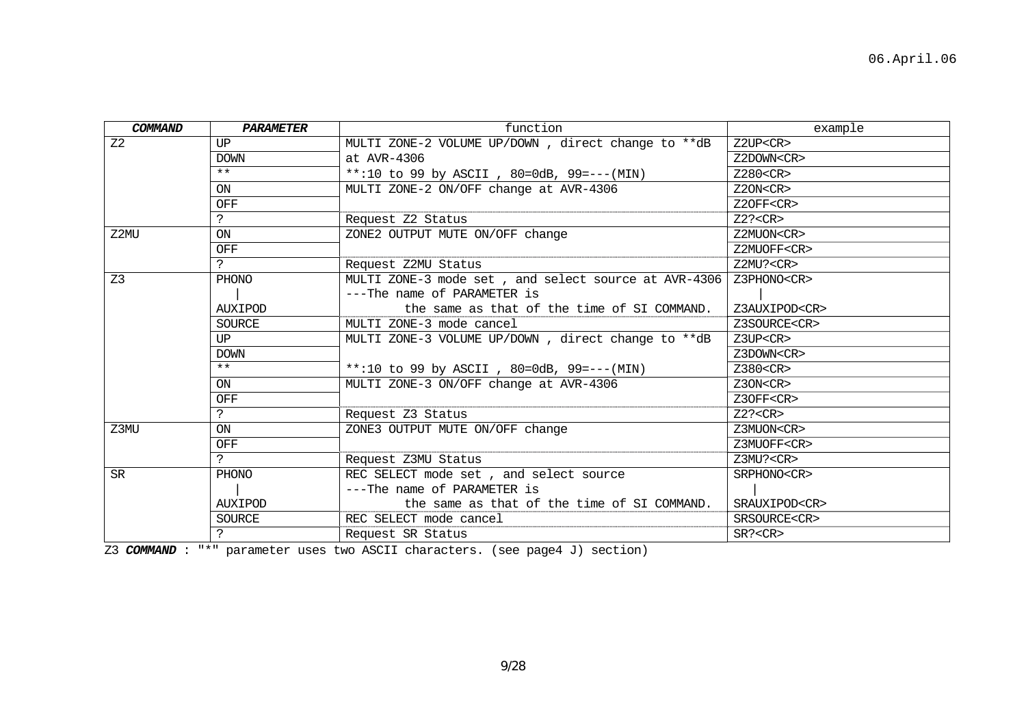| COMMAND        | <b>PARAMETER</b> | function                                             | example             |
|----------------|------------------|------------------------------------------------------|---------------------|
| Z <sub>2</sub> | UP               | MULTI ZONE-2 VOLUME UP/DOWN, direct change to **dB   | Z2UP < CR           |
|                | <b>DOWN</b>      | at AVR-4306                                          | Z2DOWN <cr></cr>    |
|                | $***$            | **:10 to 99 by ASCII, 80=0dB, 99 = --- (MIN)         | Z280 < CR           |
|                | ON               | MULTI ZONE-2 ON/OFF change at AVR-4306               | Z2ON < CR           |
|                | OFF              |                                                      | Z2OFF <cr></cr>     |
|                | S.               | Request Z2 Status                                    | Z2? < CR            |
| Z2MU           | ON               | ZONE2 OUTPUT MUTE ON/OFF change                      | Z2MUON <cr></cr>    |
|                | OFF              |                                                      | Z2MUOFF <cr></cr>   |
|                | S.               | Request Z2MU Status                                  | Z2MU? <cr></cr>     |
| Z <sub>3</sub> | PHONO            | MULTI ZONE-3 mode set, and select source at AVR-4306 | Z3PHONO <cr></cr>   |
|                |                  | ---The name of PARAMETER is                          |                     |
|                | <b>AUXIPOD</b>   | the same as that of the time of SI COMMAND.          | Z3AUXIPOD <cr></cr> |
|                | SOURCE           | MULTI ZONE-3 mode cancel                             | Z3SOURCE <cr></cr>  |
|                | UP               | MULTI ZONE-3 VOLUME UP/DOWN, direct change to **dB   | Z3UP <cr></cr>      |
|                | <b>DOWN</b>      |                                                      | Z3DOWN <cr></cr>    |
|                | $***$            | **:10 to 99 by ASCII, 80=0dB, 99=---(MIN)            | $Z380<$ CR $>$      |
|                | ON               | MULTI ZONE-3 ON/OFF change at AVR-4306               | Z3ON < CR           |
|                | OFF              |                                                      | Z3OFF <cr></cr>     |
|                | ?                | Request Z3 Status                                    | Z2? < CR            |
| Z3MU           | ON               | ZONE3 OUTPUT MUTE ON/OFF change                      | Z3MUON <cr></cr>    |
|                | <b>OFF</b>       |                                                      | Z3MUOFF <cr></cr>   |
|                | $\mathbf{P}$     | Request Z3MU Status                                  | Z3MU? <cr></cr>     |
| <b>SR</b>      | PHONO            | REC SELECT mode set, and select source               | SRPHONO <cr></cr>   |
|                |                  | ---The name of PARAMETER is                          |                     |
|                | <b>AUXIPOD</b>   | the same as that of the time of SI COMMAND.          | SRAUXIPOD <cr></cr> |
|                | <b>SOURCE</b>    | REC SELECT mode cancel                               | SRSOURCE <cr></cr>  |
|                | ?                | Request SR Status                                    | SR? < CR            |
|                |                  |                                                      |                     |

Z3 *COMMAND* : "\*" parameter uses two ASCII characters. (see page4 J) section)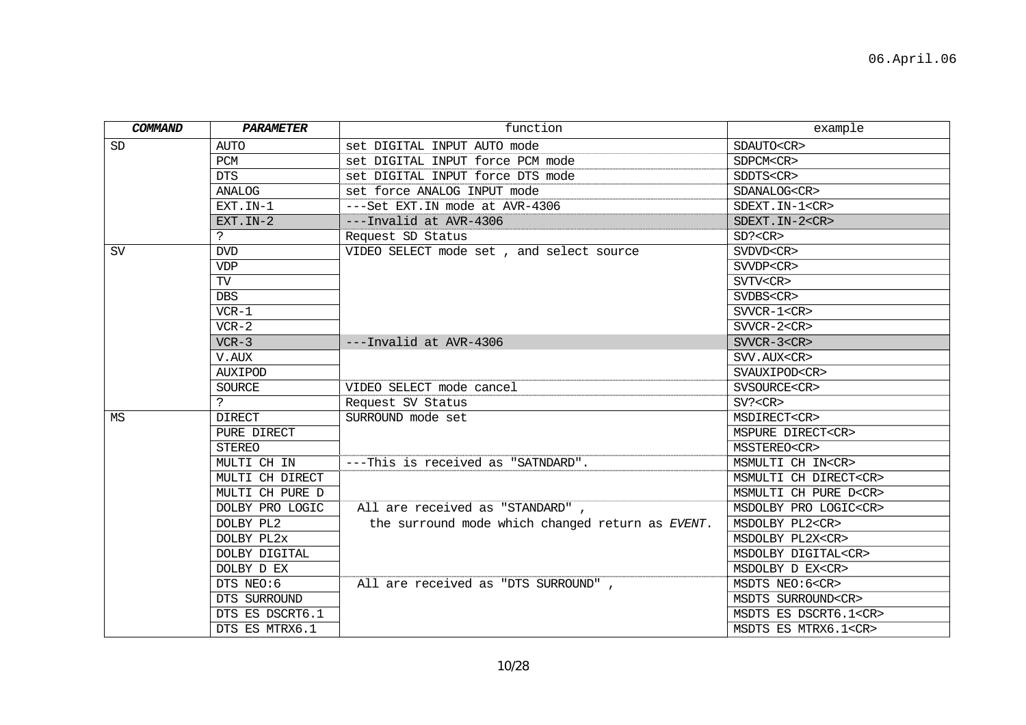| COMMAND   | PARAMETER       | function                                         | example                     |
|-----------|-----------------|--------------------------------------------------|-----------------------------|
| <b>SD</b> | <b>AUTO</b>     | set DIGITAL INPUT AUTO mode                      | SDAUTO <cr></cr>            |
|           | PCM             | set DIGITAL INPUT force PCM mode                 | SDPCM <cr></cr>             |
|           | <b>DTS</b>      | set DIGITAL INPUT force DTS mode                 | SDDTS <cr></cr>             |
|           | ANALOG          | set force ANALOG INPUT mode                      | SDANALOG <cr></cr>          |
|           | EXT.IN-1        | ---Set EXT. IN mode at AVR-4306                  | SDEXT. IN-1 <cr></cr>       |
|           | EXT. IN-2       | ---Invalid at AVR-4306                           | SDEXT. IN-2 <cr></cr>       |
|           | ?               | Request SD Status                                | SD? < CR                    |
| <b>SV</b> | DVD             | VIDEO SELECT mode set, and select source         | SVDVD <cr></cr>             |
|           | VDP             |                                                  | SVVDP <cr></cr>             |
|           | TV              |                                                  | SVTV <cr></cr>              |
|           | <b>DBS</b>      |                                                  | SVDBS <cr></cr>             |
|           | $VCR-1$         |                                                  | $SVVCR-1 < CR$              |
|           | $VCR-2$         |                                                  | $SVVCR-2 < CR$              |
|           | $VCR-3$         | $---Invalid at AVR-4306$                         | $SVVCR-3 < CR$              |
|           | V.AUX           |                                                  | SVV.AUX <cr></cr>           |
|           | <b>AUXIPOD</b>  |                                                  | SVAUXIPOD <cr></cr>         |
|           | <b>SOURCE</b>   | VIDEO SELECT mode cancel                         | SVSOURCE <cr></cr>          |
|           | $\mathbf{P}$    | Request SV Status                                | SV? < CR                    |
| MS        | <b>DIRECT</b>   | SURROUND mode set                                | MSDIRECT <cr></cr>          |
|           | PURE DIRECT     |                                                  | MSPURE DIRECT <cr></cr>     |
|           | <b>STEREO</b>   |                                                  | MSSTEREO <cr></cr>          |
|           | MULTI CH IN     | ---This is received as "SATNDARD".               | MSMULTI CH IN <cr></cr>     |
|           | MULTI CH DIRECT |                                                  | MSMULTI CH DIRECT <cr></cr> |
|           | MULTI CH PURE D |                                                  | MSMULTI CH PURE D <cr></cr> |
|           | DOLBY PRO LOGIC | All are received as "STANDARD",                  | MSDOLBY PRO LOGIC <cr></cr> |
|           | DOLBY PL2       | the surround mode which changed return as EVENT. | MSDOLBY PL2 <cr></cr>       |
|           | DOLBY PL2x      |                                                  | MSDOLBY PL2X <cr></cr>      |
|           | DOLBY DIGITAL   |                                                  | MSDOLBY DIGITAL <cr></cr>   |
|           | DOLBY D EX      |                                                  | MSDOLBY D EX <cr></cr>      |
|           | DTS NEO:6       | All are received as "DTS SURROUND",              | MSDTS NEO:6 <cr></cr>       |
|           | DTS SURROUND    |                                                  | MSDTS SURROUND <cr></cr>    |
|           | DTS ES DSCRT6.1 |                                                  | MSDTS ES DSCRT6.1 <cr></cr> |
|           | DTS ES MTRX6.1  |                                                  | MSDTS ES MTRX6.1 <cr></cr>  |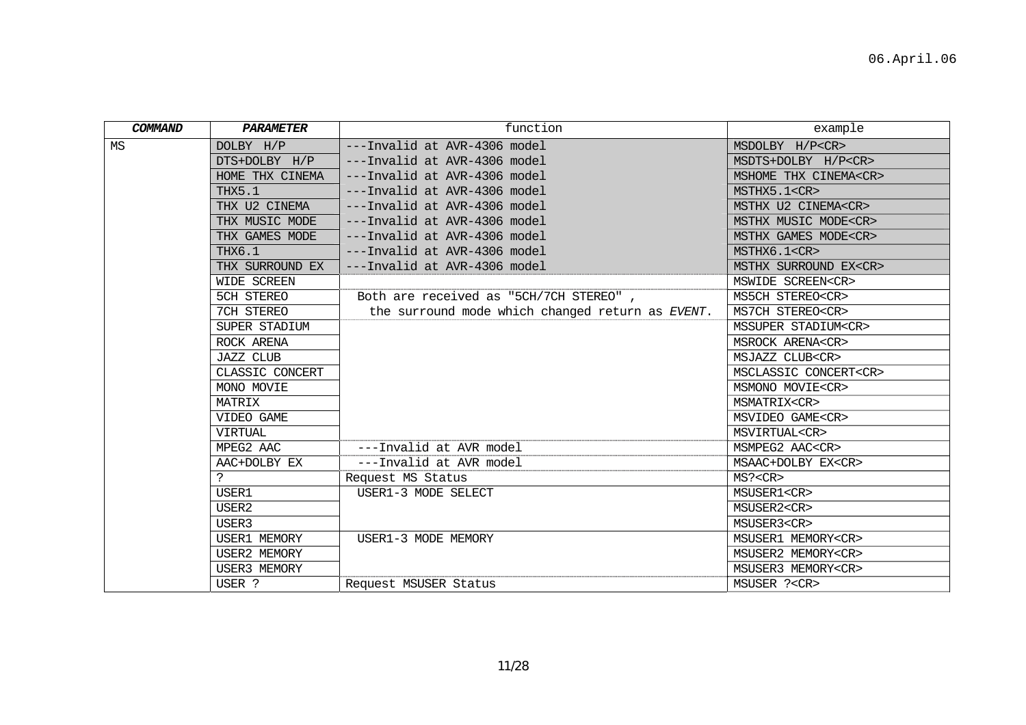| COMMAND | PARAMETER           | function                                         | example                     |
|---------|---------------------|--------------------------------------------------|-----------------------------|
| MS      | DOLBY H/P           | ---Invalid at AVR-4306 model                     | MSDOLBY H/P <cr></cr>       |
|         | DTS+DOLBY H/P       | ---Invalid at AVR-4306 model                     | MSDTS+DOLBY H/P <cr></cr>   |
|         | HOME THX CINEMA     | ---Invalid at AVR-4306 model                     | MSHOME THX CINEMA <cr></cr> |
|         | THX5.1              | ---Invalid at AVR-4306 model                     | MSTHX5.1 <cr></cr>          |
|         | THX U2 CINEMA       | ---Invalid at AVR-4306 model                     | MSTHX U2 CINEMA <cr></cr>   |
|         | THX MUSIC MODE      | ---Invalid at AVR-4306 model                     | MSTHX MUSIC MODE <cr></cr>  |
|         | THX GAMES MODE      | ---Invalid at AVR-4306 model                     | MSTHX GAMES MODE <cr></cr>  |
|         | THX6.1              | ---Invalid at AVR-4306 model                     | MSTHX6.1 <cr></cr>          |
|         | THX SURROUND EX     | ---Invalid at AVR-4306 model                     | MSTHX SURROUND EX <cr></cr> |
|         | WIDE SCREEN         |                                                  | MSWIDE SCREEN <cr></cr>     |
|         | 5CH STEREO          | Both are received as "5CH/7CH STEREO",           | MS5CH STEREO <cr></cr>      |
|         | 7CH STEREO          | the surround mode which changed return as EVENT. | MS7CH STEREO <cr></cr>      |
|         | SUPER STADIUM       |                                                  | MSSUPER STADIUM <cr></cr>   |
|         | ROCK ARENA          |                                                  | MSROCK ARENA <cr></cr>      |
|         | <b>JAZZ CLUB</b>    |                                                  | MSJAZZ CLUB <cr></cr>       |
|         | CLASSIC CONCERT     |                                                  | MSCLASSIC CONCERT <cr></cr> |
|         | MONO MOVIE          |                                                  | MSMONO MOVIE <cr></cr>      |
|         | MATRIX              |                                                  | MSMATRIX <cr></cr>          |
|         | VIDEO GAME          |                                                  | MSVIDEO GAME <cr></cr>      |
|         | VIRTUAL             |                                                  | MSVIRTUAL <cr></cr>         |
|         | MPEG2 AAC           | ---Invalid at AVR model                          | MSMPEG2 AAC <cr></cr>       |
|         | AAC+DOLBY EX        | ---Invalid at AVR model                          | MSAAC+DOLBY EX <cr></cr>    |
|         |                     | Request MS Status                                | MS? < CR                    |
|         | USER1               | USER1-3 MODE SELECT                              | MSUSER1 <cr></cr>           |
|         | USER2               |                                                  | MSUSER2 <cr></cr>           |
|         | USER3               |                                                  | MSUSER3 <cr></cr>           |
|         | USER1 MEMORY        | USER1-3 MODE MEMORY                              | MSUSER1 MEMORY <cr></cr>    |
|         | USER2 MEMORY        |                                                  | MSUSER2 MEMORY <cr></cr>    |
|         | <b>USER3 MEMORY</b> |                                                  | MSUSER3 MEMORY <cr></cr>    |
|         | USER ?              | Request MSUSER Status                            | MSUSER ? <cr></cr>          |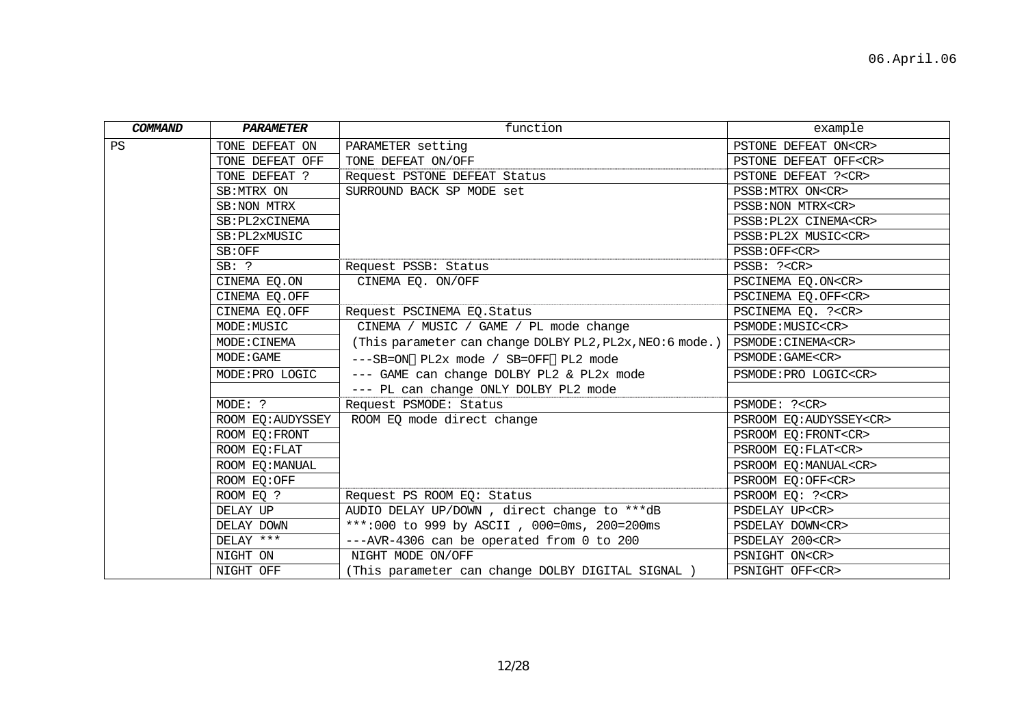| COMMAND | <b>PARAMETER</b>  | function                                                 | example                       |
|---------|-------------------|----------------------------------------------------------|-------------------------------|
| PS      | TONE DEFEAT ON    | PARAMETER setting                                        | PSTONE DEFEAT ON <cr></cr>    |
|         | TONE DEFEAT OFF   | TONE DEFEAT ON/OFF                                       | PSTONE DEFEAT OFF <cr></cr>   |
|         | TONE DEFEAT ?     | Request PSTONE DEFEAT Status                             | PSTONE DEFEAT ? <cr></cr>     |
|         | SB: MTRX ON       | SURROUND BACK SP MODE set                                | PSSB: MTRX ON <cr></cr>       |
|         | SB:NON MTRX       |                                                          | PSSB: NON MTRX <cr></cr>      |
|         | SB: PL2xCINEMA    |                                                          | PSSB: PL2X CINEMA <cr></cr>   |
|         | SB: PL2xMUSIC     |                                                          | PSSB: PL2X MUSIC <cr></cr>    |
|         | SB:OFF            |                                                          | PSSB: OFF <cr></cr>           |
|         | $SB:$ ?           | Request PSSB: Status                                     | PSSB: ? <cr></cr>             |
|         | CINEMA EQ.ON      | CINEMA EO. ON/OFF                                        | PSCINEMA EQ.ON <cr></cr>      |
|         | CINEMA EQ.OFF     |                                                          | PSCINEMA EO.OFF <cr></cr>     |
|         | CINEMA EQ.OFF     | Request PSCINEMA EQ. Status                              | PSCINEMA EQ. ?< CR>           |
|         | MODE: MUSIC       | CINEMA / MUSIC / GAME / PL mode change                   | PSMODE: MUSIC <cr></cr>       |
|         | MODE: CINEMA      | (This parameter can change DOLBY PL2, PL2x, NEO:6 mode.) | PSMODE: CINEMA <cr></cr>      |
|         | MODE: GAME        | ---SB=ON PL2x mode / SB=OFF PL2 mode                     | PSMODE: GAME <cr></cr>        |
|         | MODE: PRO LOGIC   | --- GAME can change DOLBY PL2 & PL2x mode                | PSMODE: PRO LOGIC <cr></cr>   |
|         |                   | --- PL can change ONLY DOLBY PL2 mode                    |                               |
|         | MODE: ?           | Request PSMODE: Status                                   | PSMODE: ? <cr></cr>           |
|         | ROOM EQ: AUDYSSEY | ROOM EQ mode direct change                               | PSROOM EO: AUDYSSEY <cr></cr> |
|         | ROOM EO: FRONT    |                                                          | PSROOM EO: FRONT <cr></cr>    |
|         | ROOM EQ: FLAT     |                                                          | PSROOM EQ: FLAT <cr></cr>     |
|         | ROOM EQ: MANUAL   |                                                          | PSROOM EO: MANUAL <cr></cr>   |
|         | ROOM EQ:OFF       |                                                          | PSROOM EQ:OFF <cr></cr>       |
|         | ROOM EQ ?         | Request PS ROOM EQ: Status                               | PSROOM EQ: ?< CR>             |
|         | DELAY UP          | AUDIO DELAY UP/DOWN, direct change to ***dB              | PSDELAY UP <cr></cr>          |
|         | DELAY DOWN        | ***:000 to 999 by ASCII, 000=0ms, 200=200ms              | PSDELAY DOWN <cr></cr>        |
|         | DELAY ***         | --- AVR-4306 can be operated from 0 to 200               | PSDELAY 200 <cr></cr>         |
|         | NIGHT ON          | NIGHT MODE ON/OFF                                        | PSNIGHT ON <cr></cr>          |
|         | NIGHT OFF         | (This parameter can change DOLBY DIGITAL SIGNAL )        | PSNIGHT OFF <cr></cr>         |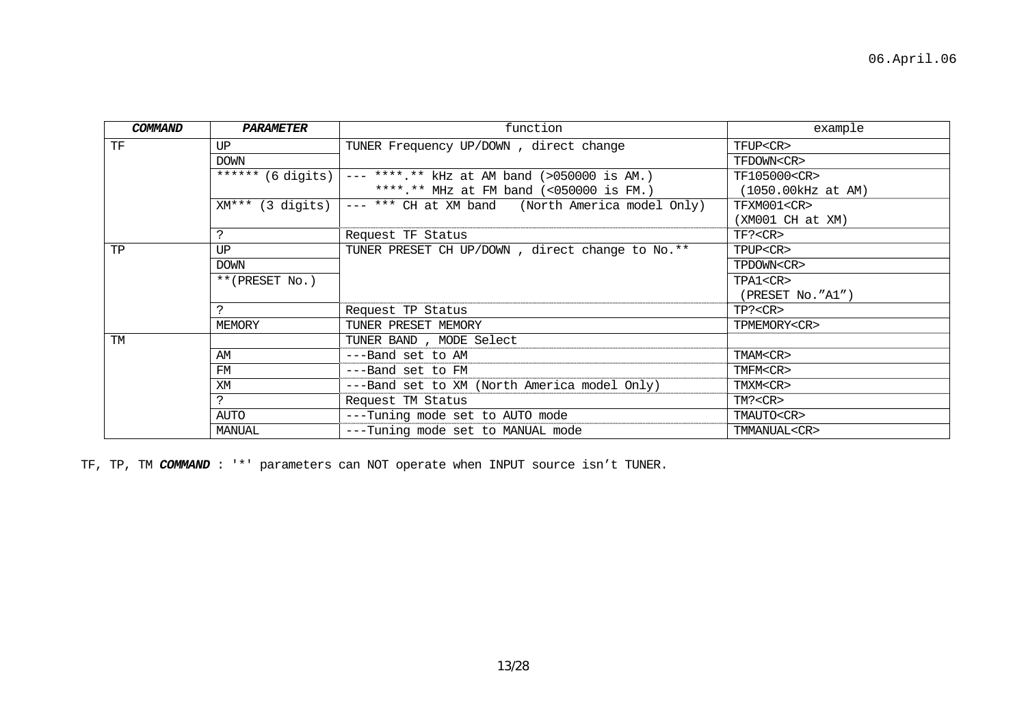| COMMAND   | PARAMETER          | function                                             | example              |
|-----------|--------------------|------------------------------------------------------|----------------------|
| TF        | UP                 | TUNER Frequency UP/DOWN, direct change               | TFUP <cr></cr>       |
|           | <b>DOWN</b>        |                                                      | TFDOWN <cr></cr>     |
|           | ****** (6 digits)  | $---$ ****.** kHz at AM band (>050000 is AM.)        | TF105000 <cr></cr>   |
|           |                    | ****.** MHz at FM band $(\le 050000 \text{ is FM.})$ | (1050.00 kHz at AM)  |
|           | $XM***$ (3 digits) | --- *** CH at XM band (North America model Only)     | TFXM001 <cr></cr>    |
|           |                    |                                                      | $(XM001 \ CH at XM)$ |
|           |                    | Request TF Status                                    | TF? < CR             |
| TP        | UP                 | TUNER PRESET CH UP/DOWN, direct change to No.**      | TPUP <cr></cr>       |
|           | <b>DOWN</b>        |                                                      | TPDOWN <cr></cr>     |
|           | **(PRESET No.)     |                                                      | TPA1 <cr></cr>       |
|           |                    |                                                      | (PRESET NO. "A1")    |
|           |                    | Request TP Status                                    | TP? < CR             |
|           | MEMORY             | TUNER PRESET MEMORY                                  | TPMEMORY <cr></cr>   |
| <b>TM</b> |                    | TUNER BAND, MODE Select                              |                      |
|           | ΆM                 | ---Band set to AM                                    | TMAM <cr></cr>       |
|           | FM                 | ---Band set to FM                                    | TMFM <cr></cr>       |
|           | XM                 | ---Band set to XM (North America model Only)         | TMXM <cr></cr>       |
|           | ?                  | Request TM Status                                    | TM? < CR             |
|           | AUTO               | ---Tuning mode set to AUTO mode                      | TMAUTO <cr></cr>     |
|           | MANUAL             | ---Tuning mode set to MANUAL mode                    | TMMANUAL <cr></cr>   |

TF, TP, TM *COMMAND* : '\*' parameters can NOT operate when INPUT source isn't TUNER.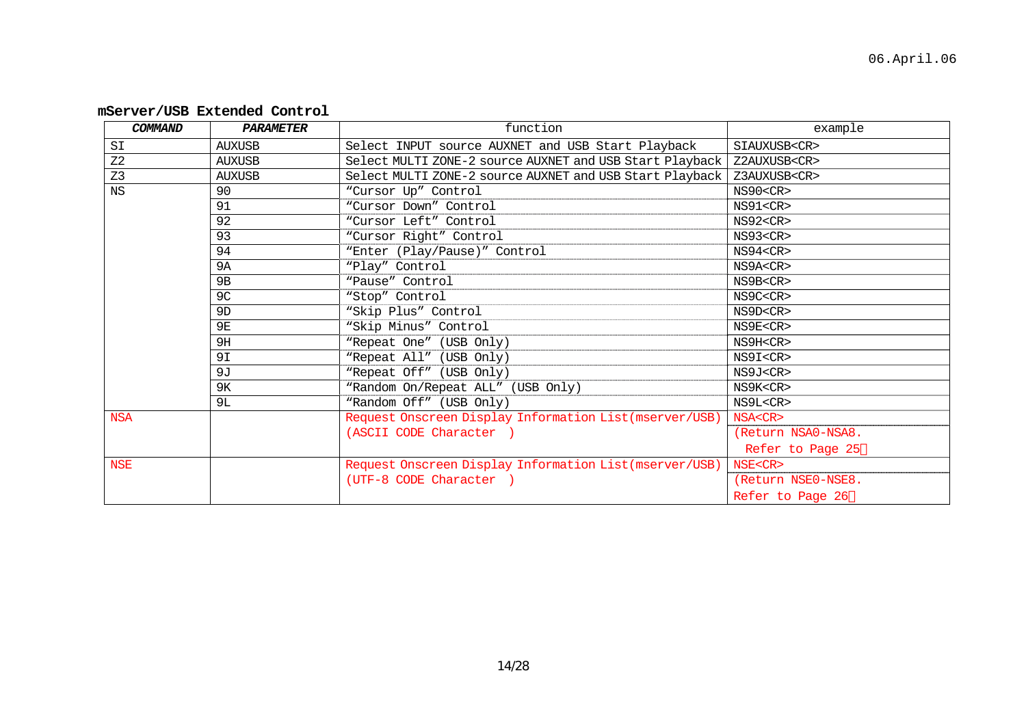| COMMAND        | <b>PARAMETER</b> | function                                                 | example            |
|----------------|------------------|----------------------------------------------------------|--------------------|
| SI             | <b>AUXUSB</b>    | Select INPUT source AUXNET and USB Start Playback        | SIAUXUSB <cr></cr> |
| Z <sub>2</sub> | <b>AUXUSB</b>    | Select MULTI ZONE-2 source AUXNET and USB Start Playback | Z2AUXUSB <cr></cr> |
| Z <sub>3</sub> | <b>AUXUSB</b>    | Select MULTI ZONE-2 source AUXNET and USB Start Playback | Z3AUXUSB <cr></cr> |
| <b>NS</b>      | 90               | "Cursor Up" Control                                      | NS90 < CR          |
|                | 91               | "Cursor Down" Control                                    | NS91 < CR          |
|                | 92               | "Cursor Left" Control                                    | NS92 < CR          |
|                | 93               | "Cursor Right" Control                                   | NS93 < CR          |
|                | 94               | "Enter (Play/Pause)" Control                             | NS94 < CR          |
|                | 9A               | "Play" Control                                           | NS9A <cr></cr>     |
|                | 9 <sub>B</sub>   | "Pause" Control                                          | NS9B <cr></cr>     |
|                | 9C               | "Stop" Control                                           | NS9C <cr></cr>     |
|                | 9 <sub>D</sub>   | "Skip Plus" Control                                      | NS9D <cr></cr>     |
|                | 9E               | "Skip Minus" Control                                     | NS9E <cr></cr>     |
|                | 9H               | "Repeat One" (USB Only)                                  | NS9H <cr></cr>     |
|                | 9I               | "Repeat All" (USB Only)                                  | NS9I <cr></cr>     |
|                | 9J               | "Repeat Off" (USB Only)                                  | NS9J <cr></cr>     |
|                | 9ĸ               | "Random On/Repeat ALL" (USB Only)                        | NS9K <cr></cr>     |
|                | 9L               | "Random Off" (USB Only)                                  | NS9L <cr></cr>     |
| <b>NSA</b>     |                  | Request Onscreen Display Information List (mserver/USB)  | NSA <cr></cr>      |
|                |                  | (ASCII CODE Character)                                   | (Return NSA0-NSA8. |
|                |                  |                                                          | Refer to Page 25   |
| <b>NSE</b>     |                  | Request Onscreen Display Information List (mserver/USB)  | NSE <cr></cr>      |
|                |                  | (UTF-8 CODE Character )                                  | (Return NSE0-NSE8. |
|                |                  |                                                          | Refer to Page 26   |

## **mServer/USB Extended Control**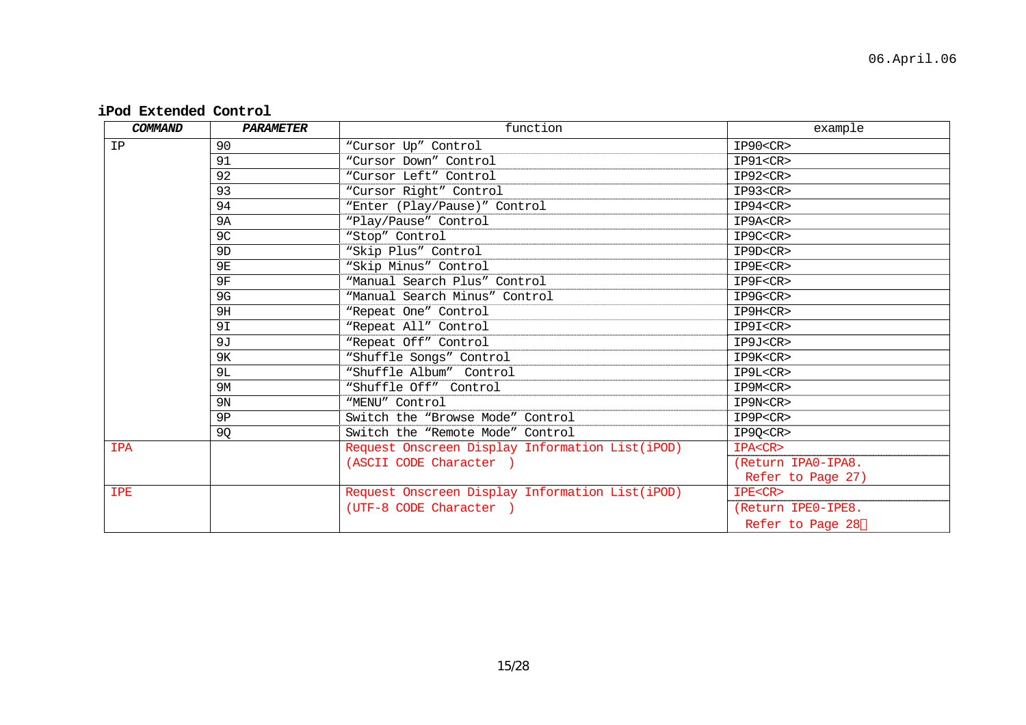**iPod Extended Control** 

| COMMAND    | PARAMETER      | function                                        | example            |
|------------|----------------|-------------------------------------------------|--------------------|
| IP         | 90             | "Cursor Up" Control                             | IP90 < CR          |
|            | 91             | "Cursor Down" Control                           | IP91 < CR          |
|            | 92             | "Cursor Left" Control                           | $IP92<$ CR>        |
|            | 93             | "Cursor Right" Control                          | IP93 < CR          |
|            | 94             | "Enter (Play/Pause)" Control                    | IP94 < CR          |
|            | <b>9A</b>      | "Play/Pause" Control                            | IP9A <cr></cr>     |
|            | 9C             | "Stop" Control                                  | IP9C <cr></cr>     |
|            | 9 <sub>D</sub> | "Skip Plus" Control                             | IP9D <cr></cr>     |
|            | <b>9E</b>      | "Skip Minus" Control                            | IP9E <cr></cr>     |
|            | 9F             | "Manual Search Plus" Control                    | IP9F <cr></cr>     |
|            | 9G             | "Manual Search Minus" Control                   | IP9G <cr></cr>     |
|            | 9H             | "Repeat One" Control                            | IP9H <cr></cr>     |
|            | 9I             | "Repeat All" Control                            | IP9I <cr></cr>     |
|            | 9J             | "Repeat Off" Control                            | IP9J <cr></cr>     |
|            | 9κ             | "Shuffle Songs" Control                         | IP9K <cr></cr>     |
|            | 9L             | "Shuffle Album" Control                         | IP9L <cr></cr>     |
|            | 9M             | "Shuffle Off" Control                           | IP9M <cr></cr>     |
|            | 9 <sub>N</sub> | "MENU" Control                                  | IP9N <cr></cr>     |
|            | 9P             | Switch the "Browse Mode" Control                | IP9P <cr></cr>     |
|            | 9Q             | Switch the "Remote Mode" Control                | IP9Q <cr></cr>     |
| <b>IPA</b> |                | Request Onscreen Display Information List(iPOD) | IPA <cr></cr>      |
|            |                | (ASCII CODE Character)                          | (Return IPA0-IPA8. |
|            |                |                                                 | Refer to Page 27)  |
| <b>IPE</b> |                | Request Onscreen Display Information List(iPOD) | IPE <cr></cr>      |
|            |                | (UTF-8 CODE Character)                          | (Return IPEO-IPE8. |
|            |                |                                                 | Refer to Page 28   |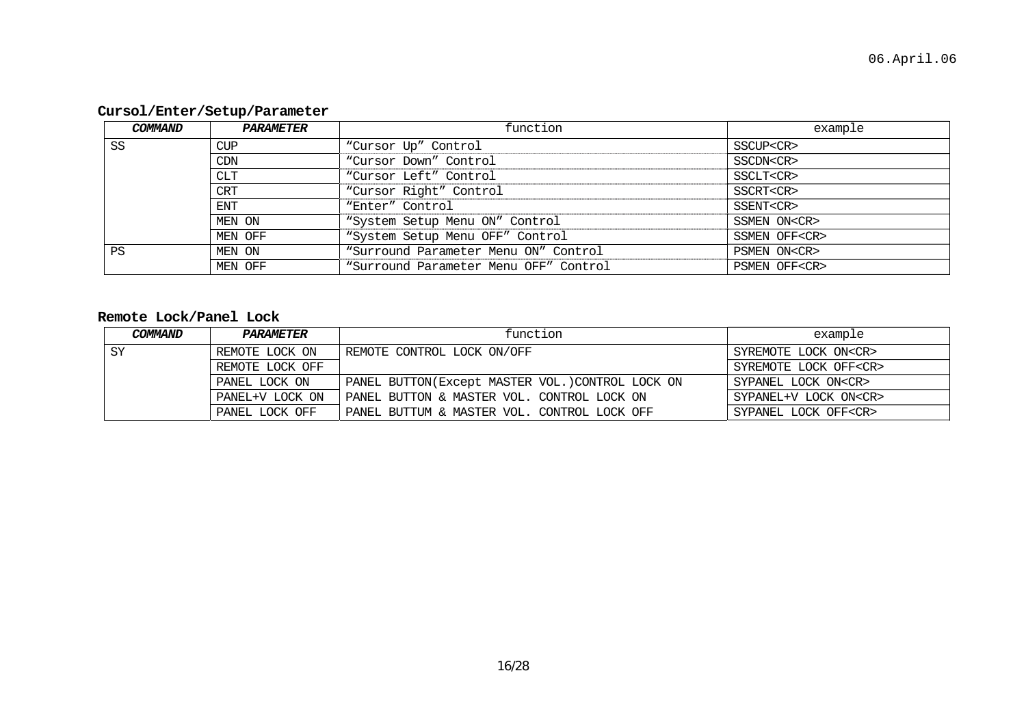## **Cursol/Enter/Setup/Parameter**

| COMMAND | <i><b>PARAMETER</b></i> | function                              | example             |
|---------|-------------------------|---------------------------------------|---------------------|
| SS      | CUP                     | "Cursor Up" Control                   | SSCUP <cr></cr>     |
|         | CDN                     | "Cursor Down" Control                 | SSCDN <cr></cr>     |
|         | CLT                     | "Cursor Left" Control                 | SSCLT <cr></cr>     |
|         | CRT                     | "Cursor Right" Control                | SSCRT <cr></cr>     |
|         | <b>ENT</b>              | "Enter" Control                       | SSENT <cr></cr>     |
|         | MEN ON                  | "System Setup Menu ON" Control        | SSMEN ON <cr></cr>  |
|         | MEN OFF                 | "System Setup Menu OFF" Control       | SSMEN OFF <cr></cr> |
| PS      | MEN ON                  | "Surround Parameter Menu ON" Control  | PSMEN ON <cr></cr>  |
|         | MEN OFF                 | "Surround Parameter Menu OFF" Control | PSMEN OFF <cr></cr> |

## **Remote Lock/Panel Lock**

| COMMAND | <i><b>PARAMETER</b></i> | function                                         | example                     |
|---------|-------------------------|--------------------------------------------------|-----------------------------|
| SY      | REMOTE LOCK ON          | REMOTE CONTROL LOCK ON/OFF                       | SYREMOTE LOCK ON <cr></cr>  |
|         | REMOTE LOCK OFF         |                                                  | SYREMOTE LOCK OFF <cr></cr> |
|         | PANEL LOCK ON           | PANEL BUTTON(Except MASTER VOL.) CONTROL LOCK ON | SYPANEL LOCK ON <cr></cr>   |
|         | PANEL+V LOCK ON         | PANEL BUTTON & MASTER VOL. CONTROL LOCK ON       | SYPANEL+V LOCK ON <cr></cr> |
|         | PANEL LOCK OFF          | PANEL BUTTUM & MASTER VOL. CONTROL LOCK OFF      | SYPANEL LOCK OFF <cr></cr>  |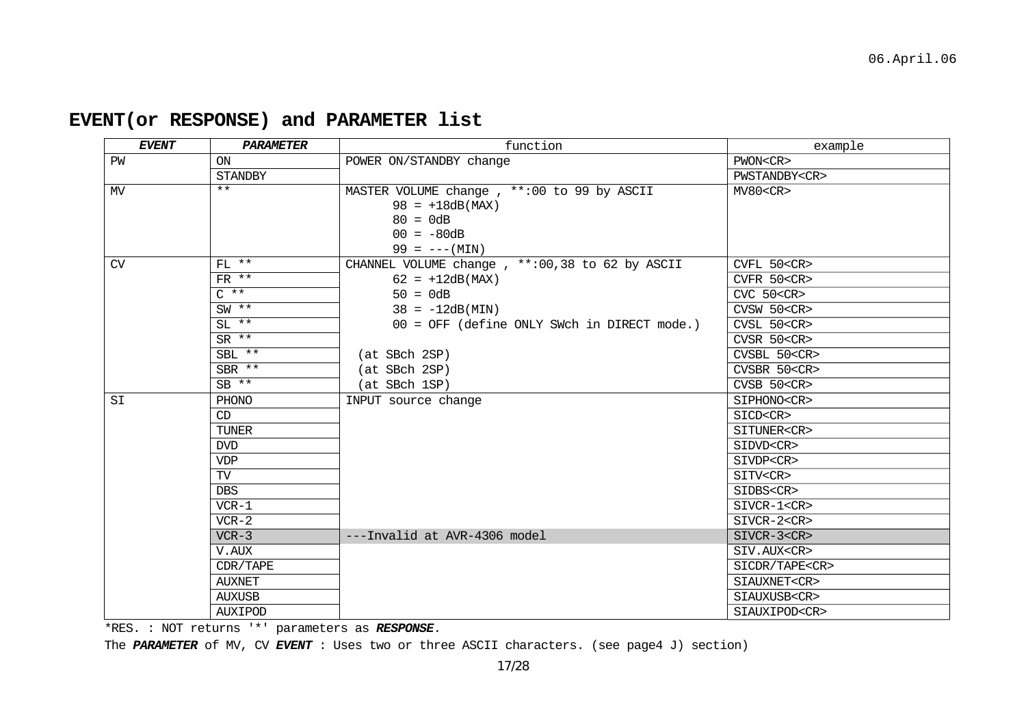| EVENT | PARAMETER       | function                                        | example              |
|-------|-----------------|-------------------------------------------------|----------------------|
| PW    | ON              | POWER ON/STANDBY change                         | PWON <cr></cr>       |
|       | <b>STANDBY</b>  |                                                 | PWSTANDBY <cr></cr>  |
| MV    | $***$           | MASTER VOLUME change, **: 00 to 99 by ASCII     | MV80 < CR            |
|       |                 | $98 = +18dB(MAX)$                               |                      |
|       |                 | $80 = 0dB$                                      |                      |
|       |                 | $00 = -80dB$                                    |                      |
|       |                 | $99 = --- (MIN)$                                |                      |
| CV    | $FL$ **         | CHANNEL VOLUME change, **: 00,38 to 62 by ASCII | CVFL 50 <cr></cr>    |
|       | $FR$ **         | $62 = +12dB(MAX)$                               | CVFR 50 <cr></cr>    |
|       | $C \star \star$ | $50 = 0dB$                                      | $CVC$ 50 $<$ CR $>$  |
|       | $SW$ **         | $38 = -12dB(MIN)$                               | CVSW 50 <cr></cr>    |
|       | $SL$ **         | 00 = OFF (define ONLY SWch in DIRECT mode.)     | CVSL 50 <cr></cr>    |
|       | $SR$ **         |                                                 | CVSR 50 <cr></cr>    |
|       | $SBL$ **        | (at SBch 2SP)                                   | CVSBL 50 <cr></cr>   |
|       | SBR **          | (at SBch 2SP)                                   | CVSBR 50 <cr></cr>   |
|       | $SB$ **         | (at SBch 1SP)                                   | $CVSB$ 50 $<$ CR $>$ |
| SI    | PHONO           | INPUT source change                             | SIPHONO <cr></cr>    |
|       | CD              |                                                 | SICD <cr></cr>       |
|       | <b>TUNER</b>    |                                                 | SITUNER <cr></cr>    |
|       | <b>DVD</b>      |                                                 | SIDVD <cr></cr>      |
|       | <b>VDP</b>      |                                                 | SIVDP <cr></cr>      |
|       | TV              |                                                 | SITV <cr></cr>       |
|       | <b>DBS</b>      |                                                 | SIDBS <cr></cr>      |
|       | $VCR-1$         |                                                 | SIVCR-1 <cr></cr>    |
|       | $VCR-2$         |                                                 | SIVCR-2 <cr></cr>    |
|       | $VCR-3$         | ---Invalid at AVR-4306 model                    | $SIVCR-3 < CR$       |
|       | V.AUX           |                                                 | SIV.AUX <cr></cr>    |
|       | CDR/TAPE        |                                                 | SICDR/TAPE <cr></cr> |
|       | <b>AUXNET</b>   |                                                 | SIAUXNET <cr></cr>   |
|       | <b>AUXUSB</b>   |                                                 | SIAUXUSB <cr></cr>   |
|       | AUXIPOD         |                                                 | SIAUXIPOD <cr></cr>  |

# **EVENT(or RESPONSE) and PARAMETER list**

\*RES. : NOT returns '\*' parameters as *RESPONSE*.

The *PARAMETER* of MV, CV *EVENT* : Uses two or three ASCII characters. (see page4 J) section)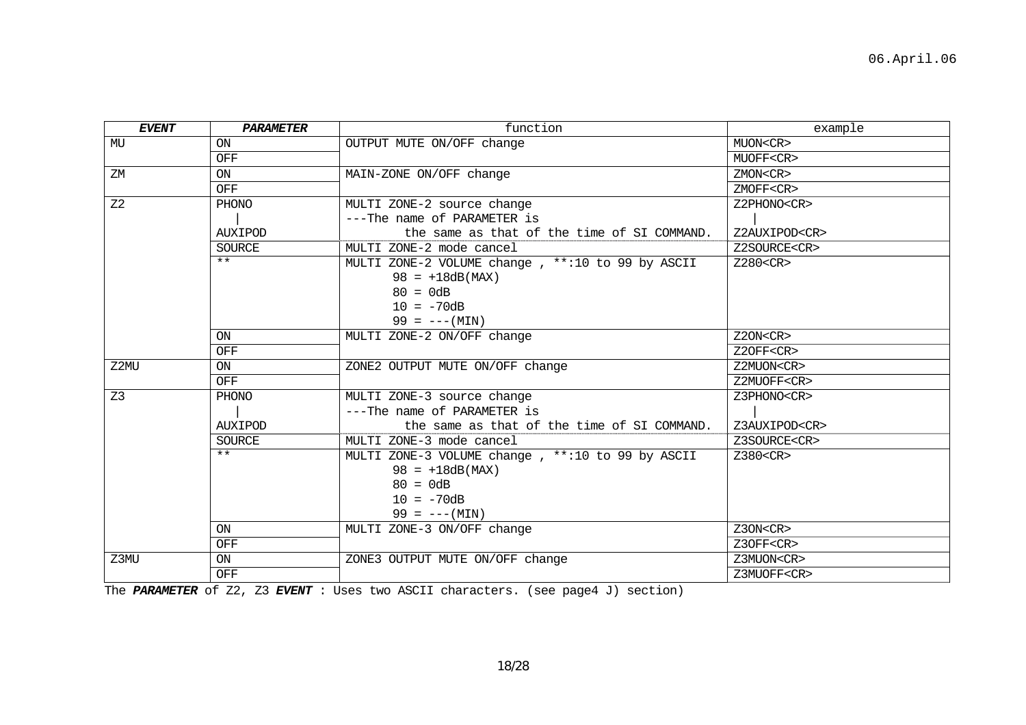| <b>EVENT</b>   | <b>PARAMETER</b> | function                                         | example             |
|----------------|------------------|--------------------------------------------------|---------------------|
| MU             | <b>ON</b>        | OUTPUT MUTE ON/OFF change                        | MUON <cr></cr>      |
|                | OFF              |                                                  | MUOFF <cr></cr>     |
| ΖM             | ON               | MAIN-ZONE ON/OFF change                          | ZMON <cr></cr>      |
|                | <b>OFF</b>       |                                                  | ZMOFF <cr></cr>     |
| Z <sub>2</sub> | PHONO            | MULTI ZONE-2 source change                       | Z2PHONO <cr></cr>   |
|                |                  | ---The name of PARAMETER is                      |                     |
|                | <b>AUXIPOD</b>   | the same as that of the time of SI COMMAND.      | Z2AUXIPOD <cr></cr> |
|                | <b>SOURCE</b>    | MULTI ZONE-2 mode cancel                         | Z2SOURCE <cr></cr>  |
|                | $***$            | MULTI ZONE-2 VOLUME change, **:10 to 99 by ASCII | $Z280<$ CR $>$      |
|                |                  | $98 = +18dB(MAX)$                                |                     |
|                |                  | $80 = 0dB$                                       |                     |
|                |                  | $10 = -70dB$                                     |                     |
|                |                  | $99 = --- (MIN)$                                 |                     |
|                | ON               | MULTI ZONE-2 ON/OFF change                       | Z2ON <cr></cr>      |
|                | OFF              |                                                  | Z2OFF <cr></cr>     |
| Z2MU           | ON               | ZONE2 OUTPUT MUTE ON/OFF change                  | Z2MUON <cr></cr>    |
|                | OFF              |                                                  | Z2MUOFF <cr></cr>   |
| Z <sub>3</sub> | PHONO            | MULTI ZONE-3 source change                       | Z3PHONO <cr></cr>   |
|                |                  | ---The name of PARAMETER is                      |                     |
|                | AUXIPOD          | the same as that of the time of SI COMMAND.      | Z3AUXIPOD <cr></cr> |
|                | <b>SOURCE</b>    | MULTI ZONE-3 mode cancel                         | Z3SOURCE <cr></cr>  |
|                | $***$            | MULTI ZONE-3 VOLUME change, **:10 to 99 by ASCII | Z380 <cr></cr>      |
|                |                  | $98 = +18dB(MAX)$                                |                     |
|                |                  | $80 = 0dB$                                       |                     |
|                |                  | $10 = -70dB$                                     |                     |
|                |                  | $99 = --- (MIN)$                                 |                     |
|                | ON               | MULTI ZONE-3 ON/OFF change                       | Z3ON <cr></cr>      |
|                | OFF              |                                                  | Z3OFF <cr></cr>     |
| Z3MU           | ON               | ZONE3 OUTPUT MUTE ON/OFF change                  | Z3MUON <cr></cr>    |
|                | OFF              |                                                  | Z3MUOFF <cr></cr>   |

The *PARAMETER* of Z2, Z3 *EVENT* : Uses two ASCII characters. (see page4 J) section)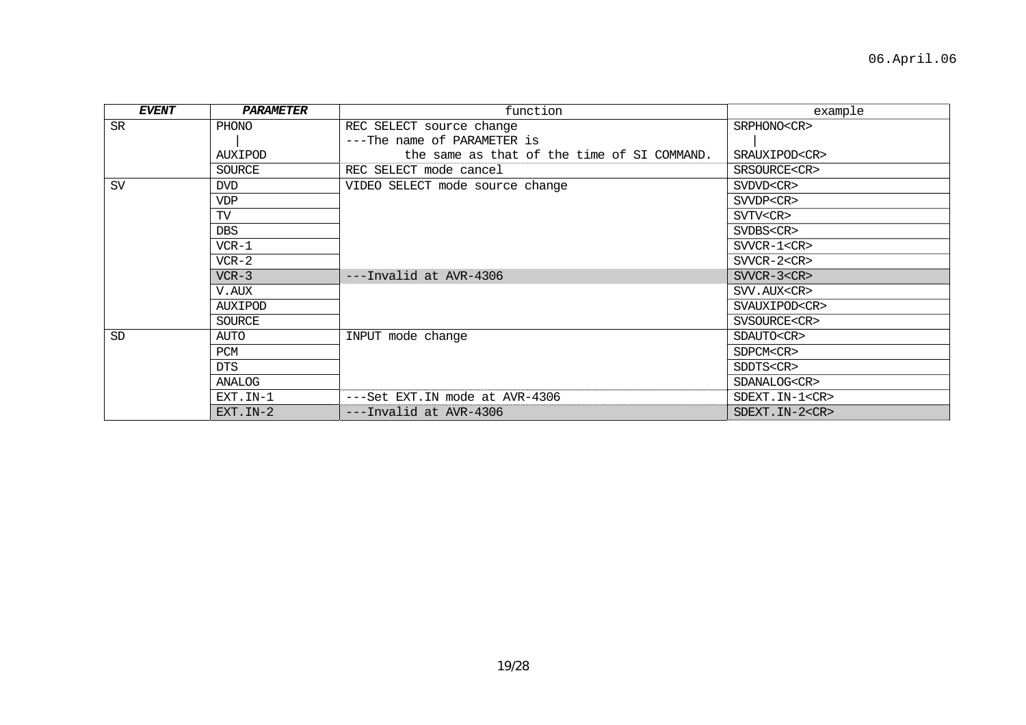| <b>EVENT</b> | PARAMETER      | function                                    | example               |
|--------------|----------------|---------------------------------------------|-----------------------|
| <b>SR</b>    | PHONO          | REC SELECT source change                    | SRPHONO <cr></cr>     |
|              |                | ---The name of PARAMETER is                 |                       |
|              | AUXIPOD        | the same as that of the time of SI COMMAND. | SRAUXIPOD <cr></cr>   |
|              | SOURCE         | REC SELECT mode cancel                      | SRSOURCE <cr></cr>    |
| <b>SV</b>    | <b>DVD</b>     | VIDEO SELECT mode source change             | SVDVD <cr></cr>       |
|              | <b>VDP</b>     |                                             | SVVDP <cr></cr>       |
|              | TV             |                                             | SVTV <cr></cr>        |
|              | <b>DBS</b>     |                                             | SVDBS <cr></cr>       |
|              | $VCR-1$        |                                             | $SVVCR-1 < CR$        |
|              | $VCR-2$        |                                             | $SVVCR-2 < CR$        |
|              | $VCR-3$        | ---Invalid at AVR-4306                      | SVVCR-3 <cr></cr>     |
|              | V.AUX          |                                             | SVV.AUX <cr></cr>     |
|              | AUXIPOD        |                                             | SVAUXIPOD <cr></cr>   |
|              | SOURCE         |                                             | SVSOURCE <cr></cr>    |
| <b>SD</b>    | AUTO           | INPUT mode change                           | SDAUTO <cr></cr>      |
|              | PCM            |                                             | SDPCM <cr></cr>       |
|              | <b>DTS</b>     |                                             | SDDTS <cr></cr>       |
|              | ANALOG         |                                             | SDANALOG <cr></cr>    |
|              | EXT. IN-1      | ---Set EXT. IN mode at AVR-4306             | SDEXT. IN-1 <cr></cr> |
|              | $EXT$ . $IN-2$ | ---Invalid at AVR-4306                      | SDEXT. IN-2 <cr></cr> |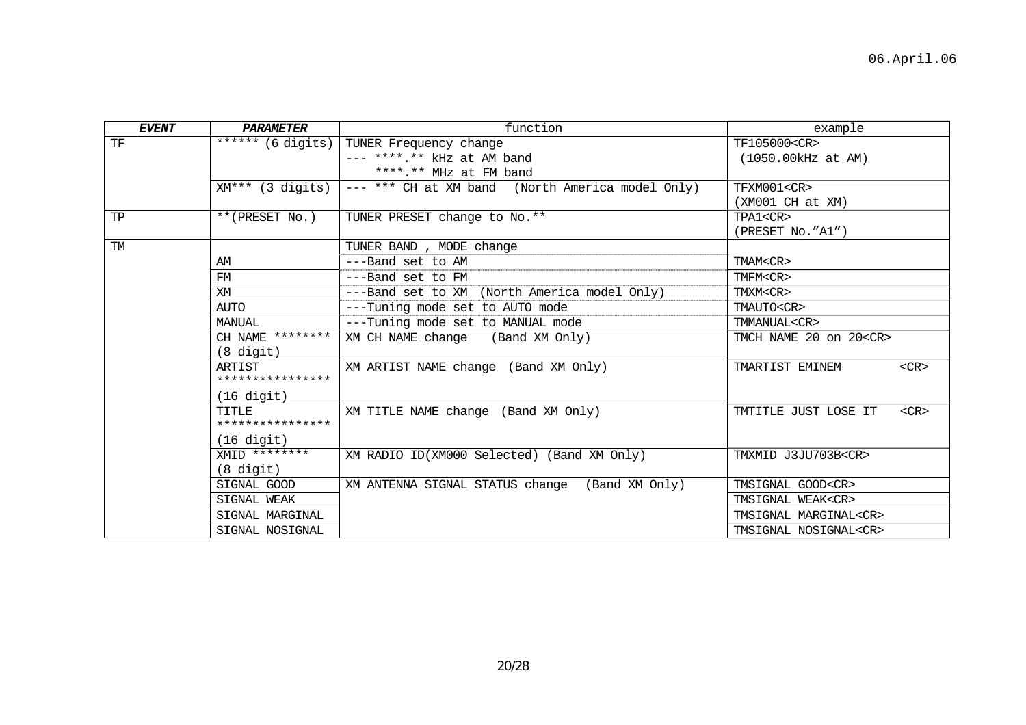| <b>EVENT</b> | <b>PARAMETER</b>       | function                                         | example                            |
|--------------|------------------------|--------------------------------------------------|------------------------------------|
| TF           | ****** (6 digits)      | TUNER Frequency change                           | TF105000 <cr></cr>                 |
|              |                        | $---$ ****.** kHz at AM band                     | (1050.00kHz at AM)                 |
|              |                        | ****.** MHz at FM band                           |                                    |
|              | $XM***$ (3 digits)     | --- *** CH at XM band (North America model Only) | TFXM001 <cr></cr>                  |
|              |                        |                                                  | $(XM001 \ CH at XM)$               |
| TP           | **(PRESET No.)         | TUNER PRESET change to No.**                     | TPA1 <cr></cr>                     |
|              |                        |                                                  | (PRESET No."A1")                   |
| TM           |                        | TUNER BAND, MODE change                          |                                    |
|              | AM                     | ---Band set to AM                                | TMAM <cr></cr>                     |
|              | FM                     | ---Band set to FM                                | TMFM <cr></cr>                     |
|              | XM                     | ---Band set to XM (North America model Only)     | TMXM <cr></cr>                     |
|              | AUTO                   | ---Tuning mode set to AUTO mode                  | TMAUTO <cr></cr>                   |
|              | MANUAL                 | ---Tuning mode set to MANUAL mode                | TMMANUAL <cr></cr>                 |
|              | CH NAME ********       | XM CH NAME change (Band XM Only)                 | TMCH NAME 20 on 20 <cr></cr>       |
|              | $(8 \text{ digit})$    |                                                  |                                    |
|              | ARTIST                 | XM ARTIST NAME change (Band XM Only)             | TMARTIST EMINEM<br>$<$ CR $>$      |
|              | ****************       |                                                  |                                    |
|              | $(16$ digit)           |                                                  |                                    |
|              | TTTLE                  | XM TITLE NAME change (Band XM Only)              | $<$ CR $>$<br>TMTITLE JUST LOSE IT |
|              | ****************       |                                                  |                                    |
|              | $(16 \text{ digit})$   |                                                  |                                    |
|              | $X\text{MID}$ ******** | XM RADIO ID(XM000 Selected) (Band XM Only)       | TMXMID J3JU703B <cr></cr>          |
|              | $(8 \text{ digit})$    |                                                  |                                    |
|              | SIGNAL GOOD            | XM ANTENNA SIGNAL STATUS change (Band XM Only)   | TMSIGNAL GOOD <cr></cr>            |
|              | SIGNAL WEAK            |                                                  | TMSIGNAL WEAK <cr></cr>            |
|              | SIGNAL MARGINAL        |                                                  | TMSIGNAL MARGINAL <cr></cr>        |
|              | SIGNAL NOSIGNAL        |                                                  | TMSIGNAL NOSIGNAL <cr></cr>        |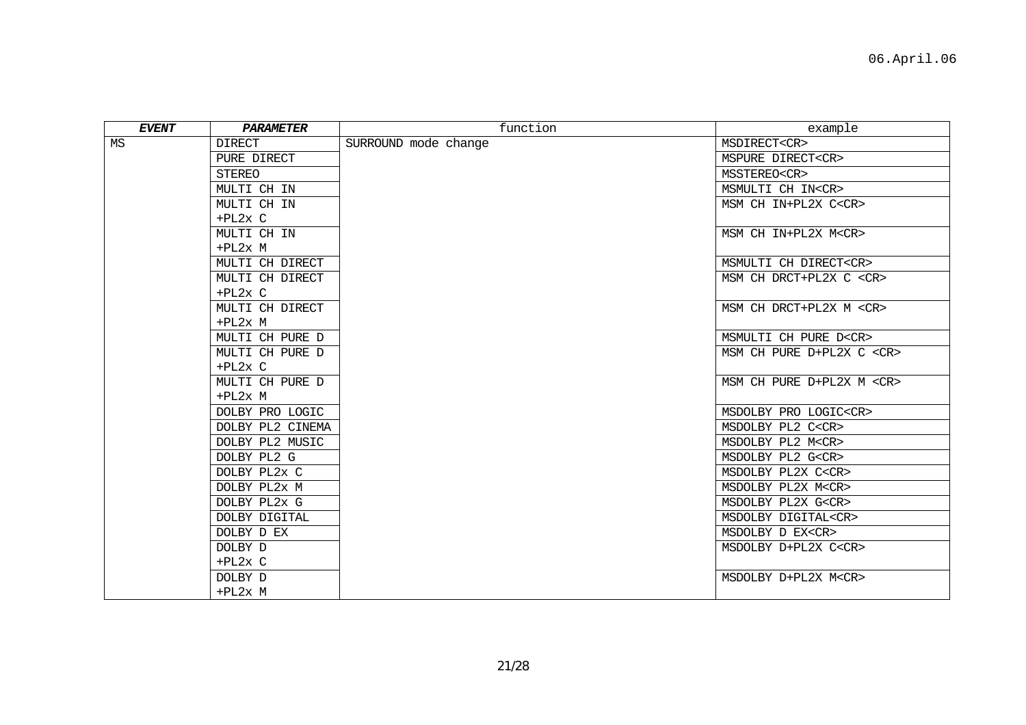| EVENT | PARAMETER        | function             | example                        |
|-------|------------------|----------------------|--------------------------------|
| MS    | <b>DIRECT</b>    | SURROUND mode change | MSDIRECT <cr></cr>             |
|       | PURE DIRECT      |                      | MSPURE DIRECT <cr></cr>        |
|       | STEREO           |                      | MSSTEREO <cr></cr>             |
|       | MULTI CH IN      |                      | MSMULTI CH IN <cr></cr>        |
|       | MULTI CH IN      |                      | MSM CH IN+PL2X C <cr></cr>     |
|       | $+PL2x$ C        |                      |                                |
|       | MULTI CH IN      |                      | MSM CH IN+PL2X M <cr></cr>     |
|       | $+PL2x$ M        |                      |                                |
|       | MULTI CH DIRECT  |                      | MSMULTI CH DIRECT <cr></cr>    |
|       | MULTI CH DIRECT  |                      | MSM CH DRCT+PL2X C <cr></cr>   |
|       | $+PL2x C$        |                      |                                |
|       | MULTI CH DIRECT  |                      | MSM CH DRCT+PL2X M <cr></cr>   |
|       | $+PL2x$ M        |                      |                                |
|       | MULTI CH PURE D  |                      | MSMULTI CH PURE D <cr></cr>    |
|       | MULTI CH PURE D  |                      | MSM CH PURE D+PL2X C <cr></cr> |
|       | $+PL2x$ C        |                      |                                |
|       | MULTI CH PURE D  |                      | MSM CH PURE D+PL2X M <cr></cr> |
|       | $+PL2x$ M        |                      |                                |
|       | DOLBY PRO LOGIC  |                      | MSDOLBY PRO LOGIC <cr></cr>    |
|       | DOLBY PL2 CINEMA |                      | MSDOLBY PL2 C <cr></cr>        |
|       | DOLBY PL2 MUSIC  |                      | MSDOLBY PL2 M <cr></cr>        |
|       | DOLBY PL2 G      |                      | MSDOLBY PL2 G <cr></cr>        |
|       | DOLBY PL2x C     |                      | MSDOLBY PL2X C <cr></cr>       |
|       | DOLBY PL2x M     |                      | MSDOLBY PL2X M <cr></cr>       |
|       | DOLBY PL2x G     |                      | MSDOLBY PL2X G <cr></cr>       |
|       | DOLBY DIGITAL    |                      | MSDOLBY DIGITAL <cr></cr>      |
|       | DOLBY D EX       |                      | MSDOLBY D EX <cr></cr>         |
|       | DOLBY D          |                      | MSDOLBY D+PL2X C <cr></cr>     |
|       | $+PL2x$ C        |                      |                                |
|       | DOLBY D          |                      | MSDOLBY D+PL2X M <cr></cr>     |
|       | $+PL2x$ M        |                      |                                |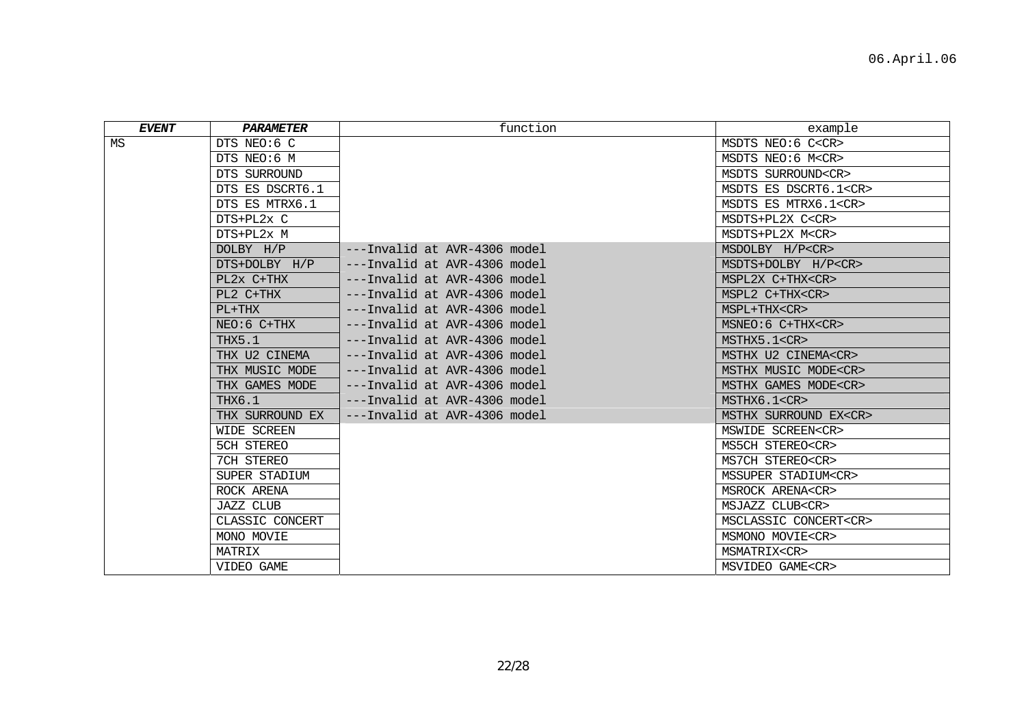| <b>EVENT</b> | <b>PARAMETER</b>  | function                     | example                     |
|--------------|-------------------|------------------------------|-----------------------------|
| MS           | DTS NEO:6 C       |                              | MSDTS NEO:6 C <cr></cr>     |
|              | DTS NEO:6 M       |                              | MSDTS NEO:6 M <cr></cr>     |
|              | DTS SURROUND      |                              | MSDTS SURROUND <cr></cr>    |
|              | DTS ES DSCRT6.1   |                              | MSDTS ES DSCRT6.1 <cr></cr> |
|              | DTS ES MTRX6.1    |                              | MSDTS ES MTRX6.1 <cr></cr>  |
|              | DTS+PL2x C        |                              | MSDTS+PL2X C <cr></cr>      |
|              | DTS+PL2x M        |                              | MSDTS+PL2X M <cr></cr>      |
|              | DOLBY H/P         | ---Invalid at AVR-4306 model | MSDOLBY H/P <cr></cr>       |
|              | DTS+DOLBY H/P     | ---Invalid at AVR-4306 model | MSDTS+DOLBY H/P <cr></cr>   |
|              | PL2x C+THX        | ---Invalid at AVR-4306 model | MSPL2X C+THX <cr></cr>      |
|              | PL2 C+THX         | ---Invalid at AVR-4306 model | MSPL2 C+THX <cr></cr>       |
|              | $PL+THX$          | ---Invalid at AVR-4306 model | MSPL+THX <cr></cr>          |
|              | $NEO:6$ $C+THX$   | ---Invalid at AVR-4306 model | $MSNEO:6$ $C+THX < CR$      |
|              | THX5.1            | ---Invalid at AVR-4306 model | MSTHX5.1 <cr></cr>          |
|              | THX U2 CINEMA     | ---Invalid at AVR-4306 model | MSTHX U2 CINEMA <cr></cr>   |
|              | THX MUSIC MODE    | ---Invalid at AVR-4306 model | MSTHX MUSIC MODE <cr></cr>  |
|              | THX GAMES MODE    | ---Invalid at AVR-4306 model | MSTHX GAMES MODE <cr></cr>  |
|              | THX6.1            | ---Invalid at AVR-4306 model | MSTHX6.1 <cr></cr>          |
|              | THX SURROUND EX   | ---Invalid at AVR-4306 model | MSTHX SURROUND EX <cr></cr> |
|              | WIDE SCREEN       |                              | MSWIDE SCREEN <cr></cr>     |
|              | <b>5CH STEREO</b> |                              | MS5CH STEREO <cr></cr>      |
|              | 7CH STEREO        |                              | MS7CH STEREO <cr></cr>      |
|              | SUPER STADIUM     |                              | MSSUPER STADIUM <cr></cr>   |
|              | ROCK ARENA        |                              | MSROCK ARENA <cr></cr>      |
|              | JAZZ CLUB         |                              | MSJAZZ CLUB <cr></cr>       |
|              | CLASSIC CONCERT   |                              | MSCLASSIC CONCERT <cr></cr> |
|              | MONO MOVIE        |                              | MSMONO MOVIE <cr></cr>      |
|              | MATRIX            |                              | MSMATRIX <cr></cr>          |
|              | VIDEO GAME        |                              | MSVIDEO GAME <cr></cr>      |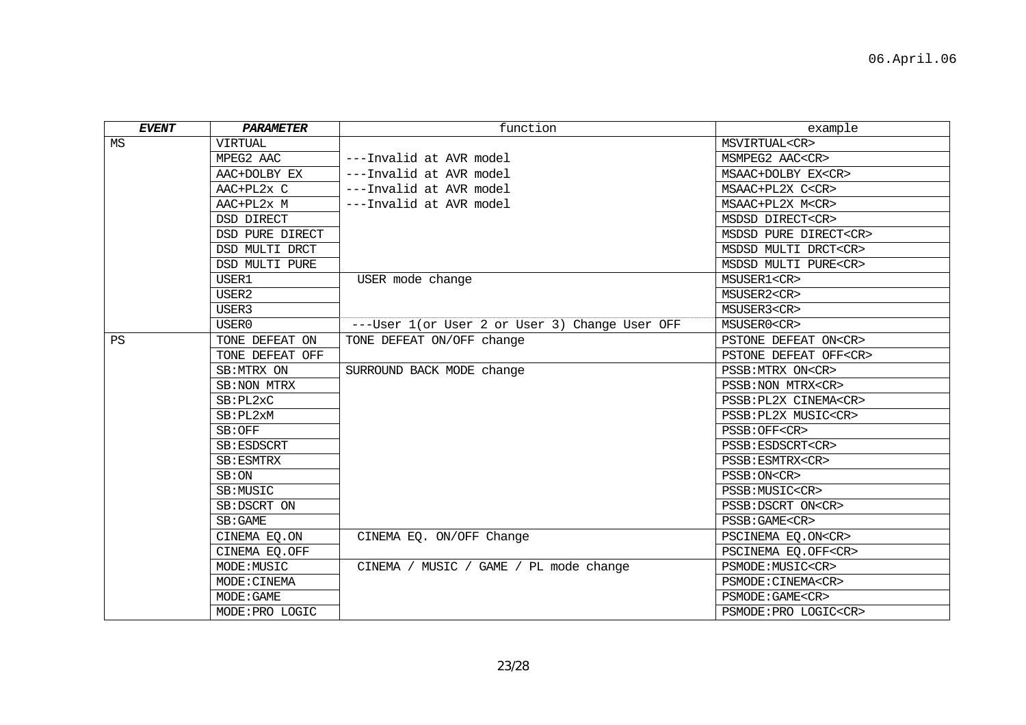| <b>EVENT</b> | PARAMETER       | function                                       | example                     |
|--------------|-----------------|------------------------------------------------|-----------------------------|
| ΜS           | <b>VIRTUAL</b>  |                                                | MSVIRTUAL <cr></cr>         |
|              | MPEG2 AAC       | ---Invalid at AVR model                        | MSMPEG2 AAC <cr></cr>       |
|              | AAC+DOLBY EX    | ---Invalid at AVR model                        | MSAAC+DOLBY EX <cr></cr>    |
|              | AAC+PL2x C      | ---Invalid at AVR model                        | MSAAC+PL2X C <cr></cr>      |
|              | AAC+PL2x M      | ---Invalid at AVR model                        | MSAAC+PL2X M <cr></cr>      |
|              | DSD DIRECT      |                                                | MSDSD DIRECT <cr></cr>      |
|              | DSD PURE DIRECT |                                                | MSDSD PURE DIRECT <cr></cr> |
|              | DSD MULTI DRCT  |                                                | MSDSD MULTI DRCT <cr></cr>  |
|              | DSD MULTI PURE  |                                                | MSDSD MULTI PURE <cr></cr>  |
|              | USER1           | USER mode change                               | MSUSER1 <cr></cr>           |
|              | USER2           |                                                | MSUSER2 <cr></cr>           |
|              | USER3           |                                                | MSUSER3 <cr></cr>           |
|              | USER0           | ---User 1(or User 2 or User 3) Change User OFF | MSUSER0 <cr></cr>           |
| <b>PS</b>    | TONE DEFEAT ON  | TONE DEFEAT ON/OFF change                      | PSTONE DEFEAT ON <cr></cr>  |
|              | TONE DEFEAT OFF |                                                | PSTONE DEFEAT OFF <cr></cr> |
|              | SB: MTRX ON     | SURROUND BACK MODE change                      | PSSB: MTRX ON <cr></cr>     |
|              | SB: NON MTRX    |                                                | PSSB: NON MTRX <cr></cr>    |
|              | SB:PL2xC        |                                                | PSSB: PL2X CINEMA <cr></cr> |
|              | SB:PL2xM        |                                                | PSSB: PL2X MUSIC <cr></cr>  |
|              | SB:OFF          |                                                | PSSB: OFF <cr></cr>         |
|              | SB: ESDSCRT     |                                                | PSSB: ESDSCRT <cr></cr>     |
|              | SB:ESMTRX       |                                                | PSSB:ESMTRX <cr></cr>       |
|              | SB:ON           |                                                | PSSB: ON <cr></cr>          |
|              | SB:MUSIC        |                                                | PSSB: MUSIC <cr></cr>       |
|              | SB:DSCRT ON     |                                                | PSSB: DSCRT ON <cr></cr>    |
|              | SB:GAME         |                                                | PSSB: GAME <cr></cr>        |
|              | CINEMA EQ.ON    | CINEMA EQ. ON/OFF Change                       | PSCINEMA EQ.ON <cr></cr>    |
|              | CINEMA EQ.OFF   |                                                | PSCINEMA EQ.OFF <cr></cr>   |
|              | MODE: MUSIC     | CINEMA / MUSIC / GAME / PL mode change         | PSMODE: MUSIC <cr></cr>     |
|              | MODE: CINEMA    |                                                | PSMODE: CINEMA <cr></cr>    |
|              | MODE: GAME      |                                                | PSMODE: GAME <cr></cr>      |
|              | MODE: PRO LOGIC |                                                | PSMODE: PRO LOGIC <cr></cr> |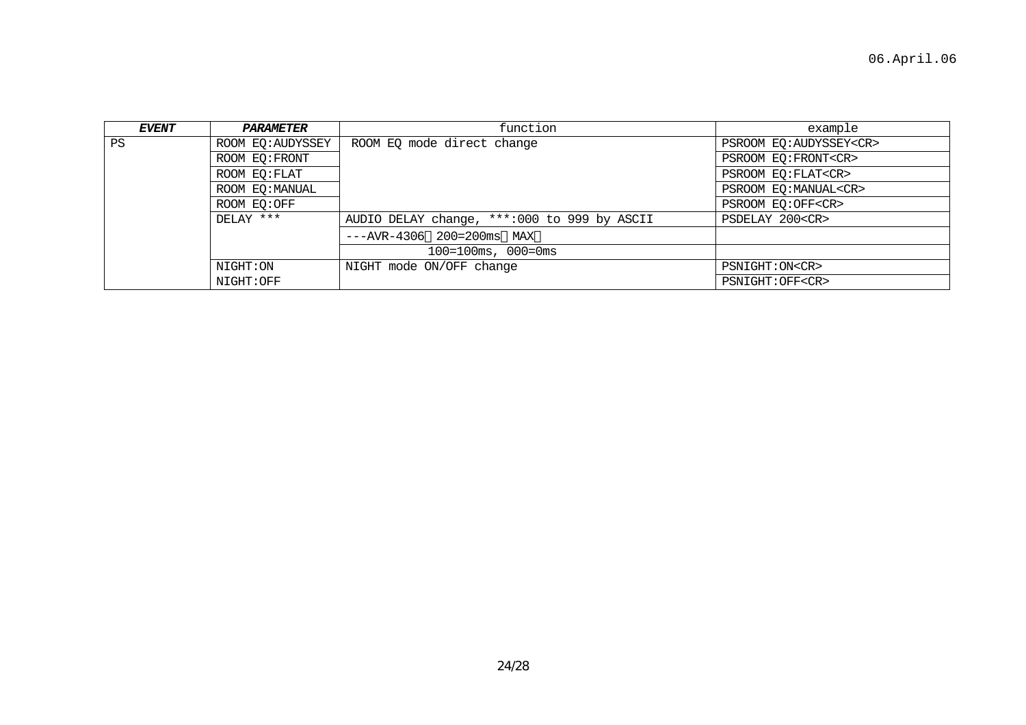| EVENT | <i><b>PARAMETER</b></i> | function                                    | example                      |
|-------|-------------------------|---------------------------------------------|------------------------------|
| PS    | ROOM EQ: AUDYSSEY       | ROOM EQ mode direct change                  | PSROOM EQ:AUDYSSEY <cr></cr> |
|       | ROOM EO: FRONT          |                                             | PSROOM EQ: FRONT <cr></cr>   |
|       | ROOM EQ: FLAT           |                                             | PSROOM EQ: FLAT <cr></cr>    |
|       | ROOM EQ:MANUAL          |                                             | PSROOM EQ:MANUAL <cr></cr>   |
|       | ROOM EO:OFF             |                                             | PSROOM EO:OFF <cr></cr>      |
|       | DELAY ***               | AUDIO DELAY change, ***:000 to 999 by ASCII | PSDELAY 200 <cr></cr>        |
|       |                         | $---AVR-4306$ 200=200ms MAX                 |                              |
|       |                         | $100 = 100$ ms, $000 = 0$ ms                |                              |
|       | NIGHT:ON                | NIGHT mode ON/OFF change                    | PSNIGHT: ON <cr></cr>        |
|       | NIGHT:OFF               |                                             | PSNIGHT: OFF <cr></cr>       |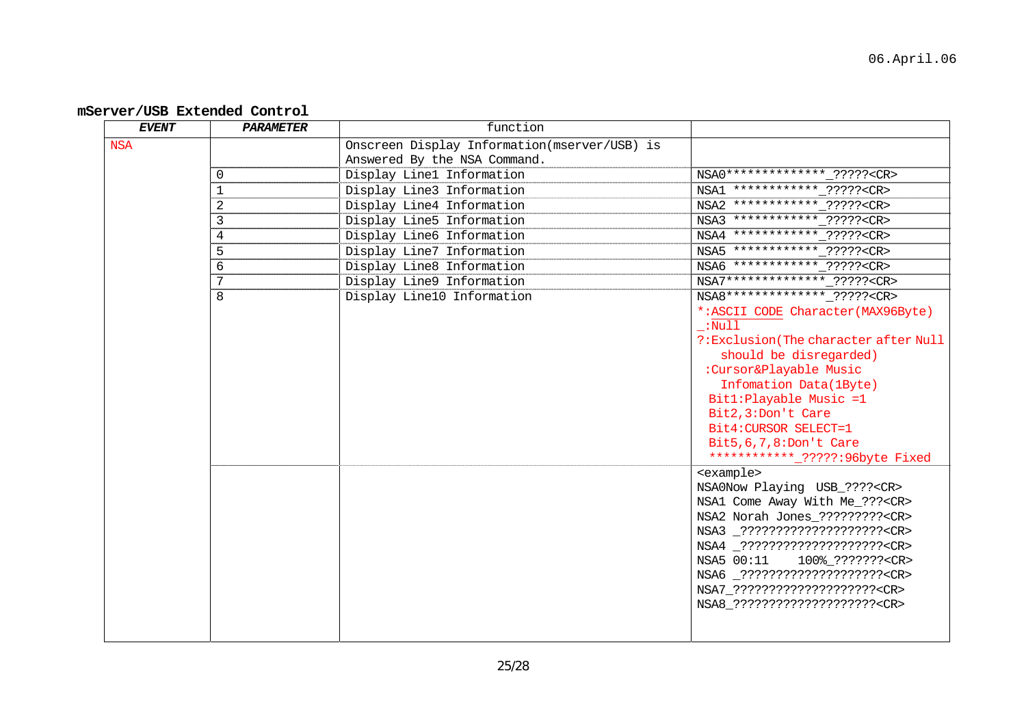## **mServer/USB Extended Control**

| <b>EVENT</b> | <b>PARAMETER</b> | function                                     |                                        |
|--------------|------------------|----------------------------------------------|----------------------------------------|
| <b>NSA</b>   |                  | Onscreen Display Information(mserver/USB) is |                                        |
|              |                  | Answered By the NSA Command.                 |                                        |
|              | $\Omega$         | Display Line1 Information                    | NSA0 ************** ????? <cr></cr>    |
|              | $\mathbf{1}$     | Display Line3 Information                    | NSA1 ************ ????? <cr></cr>      |
|              | 2                | Display Line4 Information                    | NSA2 ************* ????? <cr></cr>     |
|              | 3                | Display Line5 Information                    | NSA3 ************ ????? <cr></cr>      |
|              | 4                | Display Line6 Information                    | NSA4 ************* ????? <cr></cr>     |
|              | 5                | Display Line7 Information                    | NSA5 ************ ????? <cr></cr>      |
|              | 6                | Display Line8 Information                    | NSA6 ************ ????? <cr></cr>      |
|              | 7                | Display Line9 Information                    | NSA7 ************** ????? <cr></cr>    |
|              | 8                | Display Line10 Information                   | NSA8 ************** ????? <cr></cr>    |
|              |                  |                                              | *: ASCII CODE Character (MAX96Byte)    |
|              |                  |                                              | $\lrcorner$ :Null                      |
|              |                  |                                              | ?: Exclusion (The character after Null |
|              |                  |                                              | should be disregarded)                 |
|              |                  |                                              | :Cursor&Playable Music                 |
|              |                  |                                              | Infomation Data(1Byte)                 |
|              |                  |                                              | Bit1:Playable Music =1                 |
|              |                  |                                              | Bit2, 3: Don't Care                    |
|              |                  |                                              | Bit4: CURSOR SELECT=1                  |
|              |                  |                                              | Bit5, 6, 7, 8: Don't Care              |
|              |                  |                                              | *********** ?????:96byte Fixed         |
|              |                  |                                              | <example></example>                    |
|              |                  |                                              | NSA0Now Playing USB_???? <cr></cr>     |
|              |                  |                                              | NSA1 Come Away With Me_??? <cr></cr>   |
|              |                  |                                              | NSA2 Norah Jones_????????? <cr></cr>   |
|              |                  |                                              | NSA3 _????????????????????? <cr></cr>  |
|              |                  |                                              | NSA4 _????????????????????? <cr></cr>  |
|              |                  |                                              | NSA5 00:11<br>100%_??????? <cr></cr>   |
|              |                  |                                              | NSA6 _????????????????????? <cr></cr>  |
|              |                  |                                              | NSA7_????????????????????? <cr></cr>   |
|              |                  |                                              | NSA8_????????????????????? <cr></cr>   |
|              |                  |                                              |                                        |
|              |                  |                                              |                                        |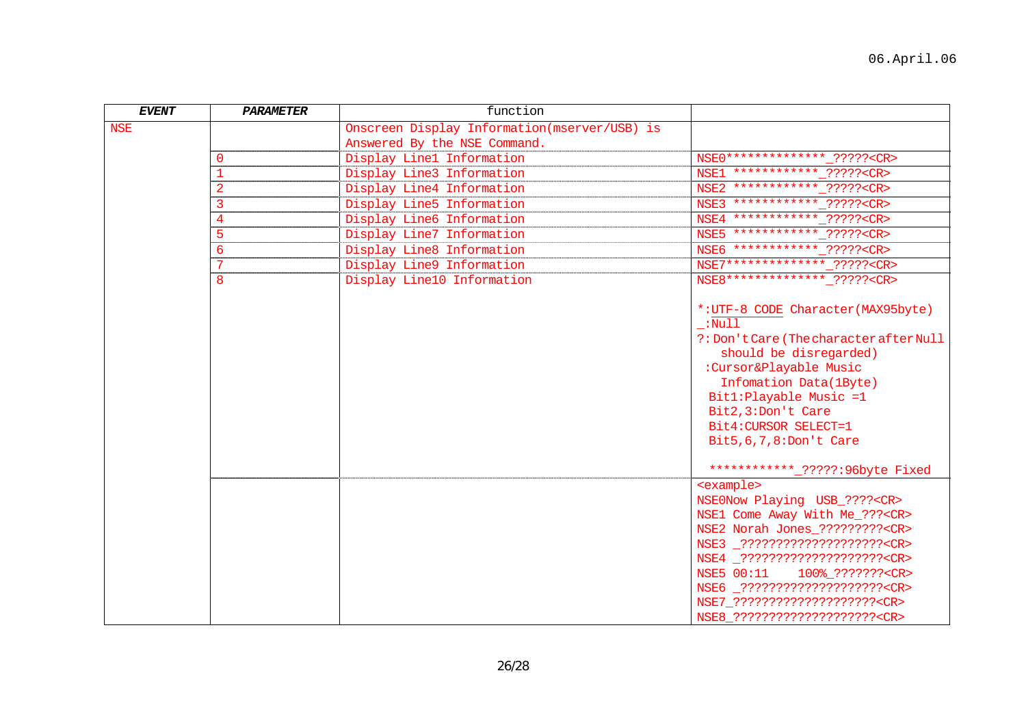| <b>EVENT</b> | PARAMETER      | function                                     |                                                                                                                                                                                                                                                                                                                                                        |
|--------------|----------------|----------------------------------------------|--------------------------------------------------------------------------------------------------------------------------------------------------------------------------------------------------------------------------------------------------------------------------------------------------------------------------------------------------------|
| <b>NSE</b>   |                | Onscreen Display Information(mserver/USB) is |                                                                                                                                                                                                                                                                                                                                                        |
|              |                | Answered By the NSE Command.                 |                                                                                                                                                                                                                                                                                                                                                        |
|              | $\Omega$       | Display Line1 Information                    | NSE0 ************** ?????? <cr></cr>                                                                                                                                                                                                                                                                                                                   |
|              |                | Display Line3 Information                    | NSE1 ************ ????? <cr></cr>                                                                                                                                                                                                                                                                                                                      |
|              | $\overline{2}$ | Display Line4 Information                    | NSE2 *************_????? <cr></cr>                                                                                                                                                                                                                                                                                                                     |
|              | 3              | Display Line5 Information                    | NSE3 ************ ????? <cr></cr>                                                                                                                                                                                                                                                                                                                      |
|              | $\overline{4}$ | Display Line6 Information                    | NSE4 ************ ????? <cr></cr>                                                                                                                                                                                                                                                                                                                      |
|              | 5              | Display Line7 Information                    | NSE5 ************ ????? <cr></cr>                                                                                                                                                                                                                                                                                                                      |
|              | 6              | Display Line8 Information                    | NSE6 ************ ????? <cr></cr>                                                                                                                                                                                                                                                                                                                      |
|              | 7              | Display Line9 Information                    | NSE7************** ????? <cr></cr>                                                                                                                                                                                                                                                                                                                     |
|              | 8              | Display Line10 Information                   | NSE8 *************** ????? <cr></cr>                                                                                                                                                                                                                                                                                                                   |
|              |                |                                              | *: UTF-8 CODE Character (MAX95byte)<br>$\_$ :Null<br>?: Don't Care (The character after Null<br>should be disregarded)<br>:Cursor&Playable Music<br>Infomation Data(1Byte)<br>Bit1:Playable Music =1<br>Bit2, 3: Don't Care<br>Bit4: CURSOR SELECT=1<br>Bit5, 6, 7, 8: Don't Care<br>************ <sub>-</sub> ?????:96byte Fixed                      |
|              |                |                                              | <example><br/>NSE0Now Playing USB_????<cr><br/>NSE1 Come Away With Me_???<cr><br/>NSE2 Norah Jones_?????????<cr><br/>NSE3 _?????????????????????<cr><br/>NSE4 _?????????????????????<cr><br/>NSE6 _?????????????????????<cr><br/>NSE7_??????????????????????<cr><br/>NSE8_??????????????????????<cr></cr></cr></cr></cr></cr></cr></cr></cr></example> |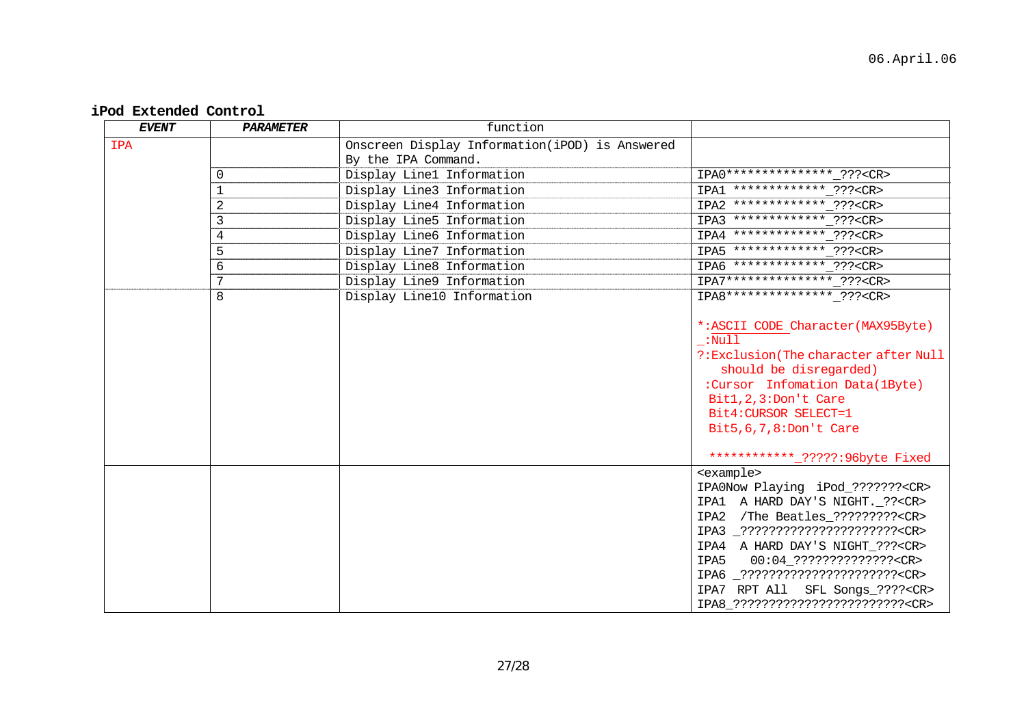### **iPod Extended Control**

| <b>EVENT</b> | <b>PARAMETER</b> | function                                       |                                              |
|--------------|------------------|------------------------------------------------|----------------------------------------------|
| <b>IPA</b>   |                  | Onscreen Display Information(iPOD) is Answered |                                              |
|              |                  | By the IPA Command.                            |                                              |
|              | $\mathbf 0$      | Display Line1 Information                      | IPA0 *************** ??? <cr></cr>           |
|              | 1                | Display Line3 Information                      | IPA1 ************* ??? <cr></cr>             |
|              | 2                | Display Line4 Information                      | IPA2 ************* ??? <cr></cr>             |
|              | 3                | Display Line5 Information                      | IPA3 ************* ??? <cr></cr>             |
|              | 4                | Display Line6 Information                      | IPA4 ************* ??? <cr></cr>             |
|              | 5                | Display Line7 Information                      | IPA5 ************* ??? <cr></cr>             |
|              | 6                | Display Line8 Information                      | IPA6 ************* ??? <cr></cr>             |
|              | 7                | Display Line9 Information                      | IPA7*************** ??? <cr></cr>            |
|              | 8                | Display Line10 Information                     | IPA8 *************** ??? <cr></cr>           |
|              |                  |                                                |                                              |
|              |                  |                                                | *: ASCII CODE Character (MAX95Byte)          |
|              |                  |                                                | :Null                                        |
|              |                  |                                                | ?: Exclusion (The character after Null       |
|              |                  |                                                | should be disregarded)                       |
|              |                  |                                                | :Cursor Infomation Data(1Byte)               |
|              |                  |                                                | Bit1, 2, 3: Don't Care                       |
|              |                  |                                                | Bit4: CURSOR SELECT=1                        |
|              |                  |                                                | Bit5, 6, 7, 8: Don't Care                    |
|              |                  |                                                | ************ <sub>-</sub> ?????:96byte Fixed |
|              |                  |                                                | <example></example>                          |
|              |                  |                                                | IPA0Now Playing iPod_??????? <cr></cr>       |
|              |                  |                                                | IPA1 A HARD DAY'S NIGHT. ?? <cr></cr>        |
|              |                  |                                                | IPA2 /The Beatles_????????? <cr></cr>        |
|              |                  |                                                | IPA3 ???????????????????????? <cr></cr>      |
|              |                  |                                                | IPA4 A HARD DAY'S NIGHT_??? <cr></cr>        |
|              |                  |                                                | IPA5<br>00:04_??????????????? <cr></cr>      |
|              |                  |                                                | IPA6 _???????????????????????? <cr></cr>     |
|              |                  |                                                | IPA7 RPT All SFL Songs_???? <cr></cr>        |
|              |                  |                                                | IPA8 ?????????????????????????? <cr></cr>    |